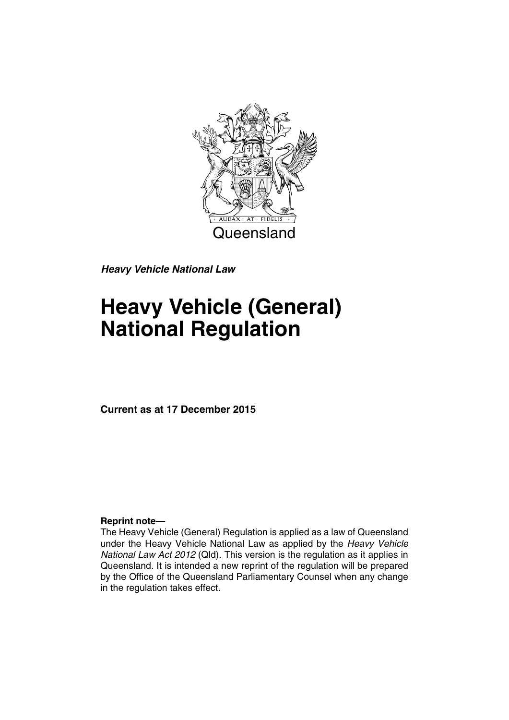

*Heavy Vehicle National Law*

# **Heavy Vehicle (General) National Regulation**

**Current as at 17 December 2015**

### **Reprint note—**

The Heavy Vehicle (General) Regulation is applied as a law of Queensland under the Heavy Vehicle National Law as applied by the *Heavy Vehicle National Law Act 2012* (Qld). This version is the regulation as it applies in Queensland. It is intended a new reprint of the regulation will be prepared by the Office of the Queensland Parliamentary Counsel when any change in the regulation takes effect.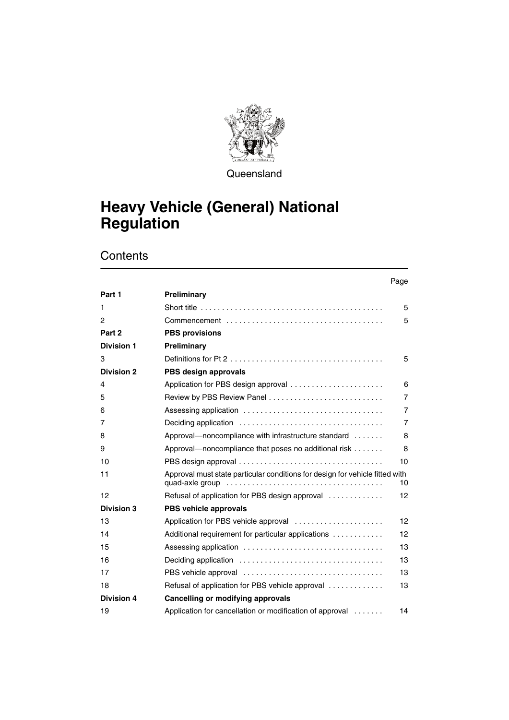

**Queensland** 

## **Heavy Vehicle (General) National Regulation**

|                   |                                                                                                                                  | Page           |
|-------------------|----------------------------------------------------------------------------------------------------------------------------------|----------------|
| Part 1            | Preliminary                                                                                                                      |                |
| 1                 |                                                                                                                                  | 5              |
| $\overline{c}$    |                                                                                                                                  | 5              |
| Part 2            | <b>PBS provisions</b>                                                                                                            |                |
| <b>Division 1</b> | Preliminary                                                                                                                      |                |
| 3                 | Definitions for Pt 2 $\dots$ , $\dots$ , $\dots$ , $\dots$ , $\dots$ , $\dots$ , $\dots$ , $\dots$ , $\dots$ , $\dots$ , $\dots$ | 5              |
| <b>Division 2</b> | PBS design approvals                                                                                                             |                |
| 4                 | Application for PBS design approval                                                                                              | 6              |
| 5                 |                                                                                                                                  | 7              |
| 6                 |                                                                                                                                  | $\overline{7}$ |
| 7                 |                                                                                                                                  | $\overline{7}$ |
| 8                 | Approval—noncompliance with infrastructure standard                                                                              | 8              |
| 9                 | Approval—noncompliance that poses no additional risk                                                                             | 8              |
| 10                |                                                                                                                                  | 10             |
| 11                | Approval must state particular conditions for design for vehicle fitted with                                                     | 10             |
| 12                | Refusal of application for PBS design approval                                                                                   | 12             |
| <b>Division 3</b> | PBS vehicle approvals                                                                                                            |                |
| 13                | Application for PBS vehicle approval                                                                                             | 12             |
| 14                | Additional requirement for particular applications                                                                               | 12             |
| 15                |                                                                                                                                  | 13             |
| 16                |                                                                                                                                  | 13             |
| 17                |                                                                                                                                  | 13             |
| 18                | Refusal of application for PBS vehicle approval                                                                                  | 13             |
| <b>Division 4</b> | Cancelling or modifying approvals                                                                                                |                |
| 19                | Application for cancellation or modification of approval                                                                         | 14             |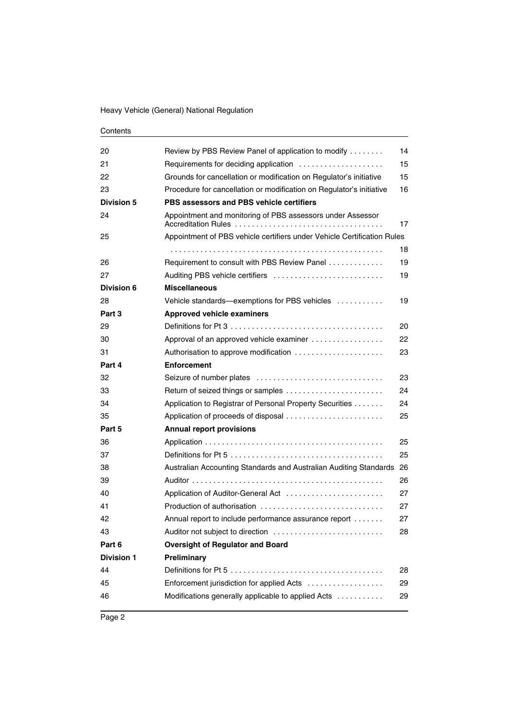| 20                | Review by PBS Review Panel of application to modify                     | 14 |
|-------------------|-------------------------------------------------------------------------|----|
| 21                | Requirements for deciding application                                   | 15 |
| 22                | Grounds for cancellation or modification on Regulator's initiative      | 15 |
| 23                | Procedure for cancellation or modification on Regulator's initiative    | 16 |
| <b>Division 5</b> | PBS assessors and PBS vehicle certifiers                                |    |
| 24                | Appointment and monitoring of PBS assessors under Assessor              | 17 |
| 25                | Appointment of PBS vehicle certifiers under Vehicle Certification Rules |    |
|                   |                                                                         | 18 |
| 26                | Requirement to consult with PBS Review Panel                            | 19 |
| 27                | Auditing PBS vehicle certifiers                                         | 19 |
| Division 6        | <b>Miscellaneous</b>                                                    |    |
| 28                | Vehicle standards-exemptions for PBS vehicles                           | 19 |
| Part 3            | <b>Approved vehicle examiners</b>                                       |    |
| 29                |                                                                         | 20 |
| 30                | Approval of an approved vehicle examiner                                | 22 |
| 31                | Authorisation to approve modification                                   | 23 |
| Part 4            | <b>Enforcement</b>                                                      |    |
| 32                |                                                                         | 23 |
| 33                |                                                                         | 24 |
| 34                | Application to Registrar of Personal Property Securities                | 24 |
| 35                |                                                                         | 25 |
| Part 5            | <b>Annual report provisions</b>                                         |    |
| 36                |                                                                         | 25 |
| 37                |                                                                         | 25 |
| 38                | Australian Accounting Standards and Australian Auditing Standards       | 26 |
| 39                |                                                                         | 26 |
| 40                | Application of Auditor-General Act                                      | 27 |
| 41                | Production of authorisation                                             | 27 |
| 42                | Annual report to include performance assurance report                   | 27 |
| 43                | Auditor not subject to direction                                        | 28 |
| Part 6            | <b>Oversight of Regulator and Board</b>                                 |    |
| <b>Division 1</b> | Preliminary                                                             |    |
| 44                |                                                                         | 28 |
| 45                | Enforcement jurisdiction for applied Acts                               | 29 |
| 46                | Modifications generally applicable to applied Acts                      | 29 |
|                   |                                                                         |    |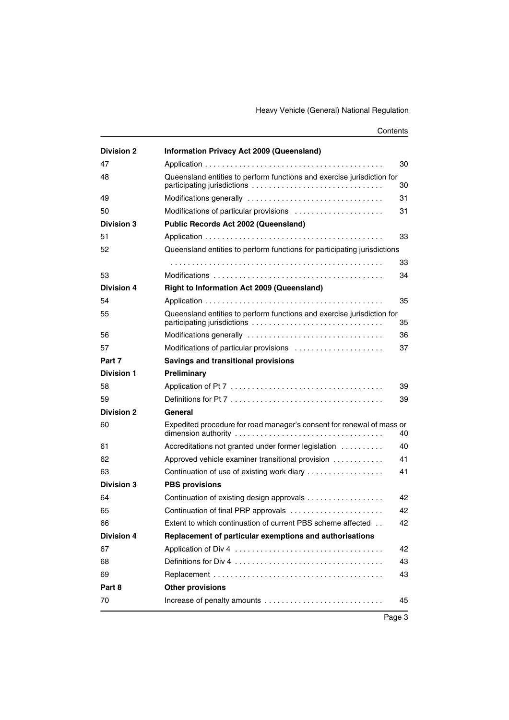| <b>Division 2</b> | <b>Information Privacy Act 2009 (Queensland)</b>                         |    |
|-------------------|--------------------------------------------------------------------------|----|
| 47                |                                                                          | 30 |
| 48                | Queensland entities to perform functions and exercise jurisdiction for   | 30 |
| 49                |                                                                          | 31 |
| 50                | Modifications of particular provisions                                   | 31 |
| <b>Division 3</b> | Public Records Act 2002 (Queensland)                                     |    |
| 51                |                                                                          | 33 |
| 52                | Queensland entities to perform functions for participating jurisdictions |    |
|                   |                                                                          | 33 |
| 53                |                                                                          | 34 |
| <b>Division 4</b> | <b>Right to Information Act 2009 (Queensland)</b>                        |    |
| 54                |                                                                          | 35 |
| 55                | Queensland entities to perform functions and exercise jurisdiction for   | 35 |
| 56                |                                                                          | 36 |
| 57                | Modifications of particular provisions                                   | 37 |
| Part 7            | <b>Savings and transitional provisions</b>                               |    |
| <b>Division 1</b> | Preliminary                                                              |    |
| 58                |                                                                          | 39 |
| 59                |                                                                          | 39 |
| <b>Division 2</b> | General                                                                  |    |
| 60                | Expedited procedure for road manager's consent for renewal of mass or    | 40 |
| 61                | Accreditations not granted under former legislation                      | 40 |
| 62                | Approved vehicle examiner transitional provision                         | 41 |
| 63                | Continuation of use of existing work diary                               | 41 |
| <b>Division 3</b> | <b>PBS provisions</b>                                                    |    |
| 64                | Continuation of existing design approvals                                | 42 |
| 65                | Continuation of final PRP approvals                                      | 42 |
| 66                | Extent to which continuation of current PBS scheme affected              | 42 |
| <b>Division 4</b> | Replacement of particular exemptions and authorisations                  |    |
| 67                |                                                                          | 42 |
| 68                |                                                                          | 43 |
| 69                |                                                                          | 43 |
| Part 8            | <b>Other provisions</b>                                                  |    |
| 70                | Increase of penalty amounts                                              | 45 |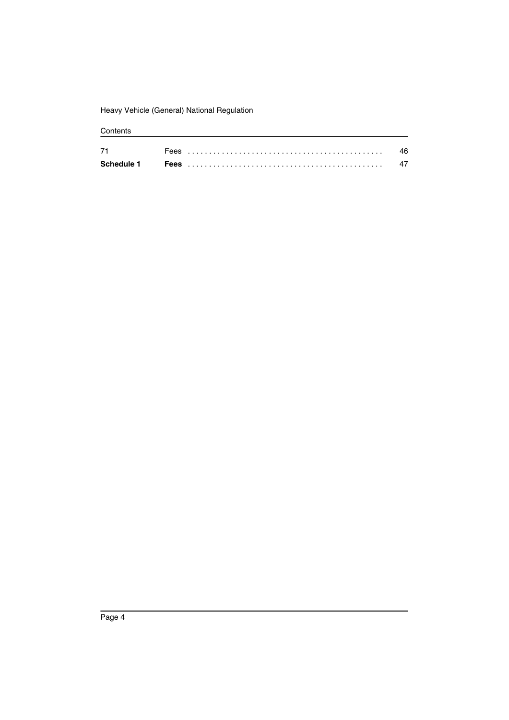Heavy Vehicle (General) National Regulation

| 71         | <b>Lees</b> |  |
|------------|-------------|--|
| Schedule 1 | Fees        |  |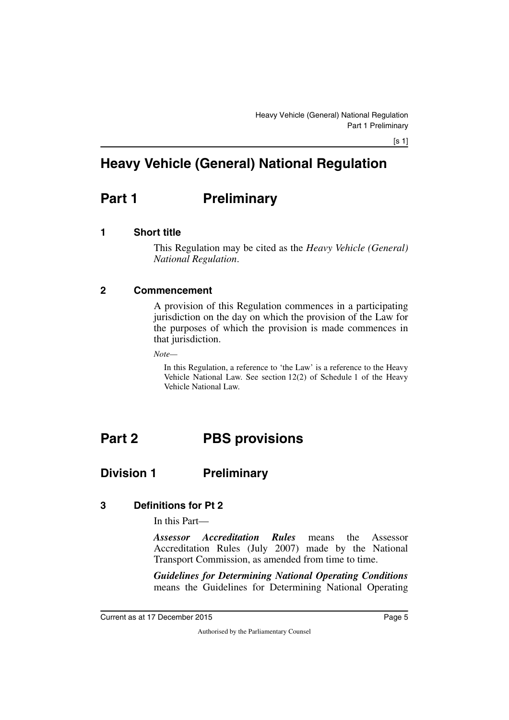## **Heavy Vehicle (General) National Regulation**

## <span id="page-6-0"></span>**Part 1** Preliminary

## <span id="page-6-2"></span>**1 Short title**

<span id="page-6-3"></span><span id="page-6-1"></span>This Regulation may be cited as the *Heavy Vehicle (General) National Regulation*.

## <span id="page-6-4"></span>**2 Commencement**

<span id="page-6-5"></span>A provision of this Regulation commences in a participating jurisdiction on the day on which the provision of the Law for the purposes of which the provision is made commences in that jurisdiction.

*Note—*

<span id="page-6-7"></span>In this Regulation, a reference to 'the Law' is a reference to the Heavy Vehicle National Law. See section 12(2) of Schedule 1 of the Heavy Vehicle National Law.

## <span id="page-6-6"></span>**Part 2 PBS provisions**

## <span id="page-6-8"></span>**Division 1 Preliminary**

## <span id="page-6-10"></span>**3 Definitions for Pt 2**

<span id="page-6-11"></span><span id="page-6-9"></span>In this Part—

*Assessor Accreditation Rules* means the Assessor Accreditation Rules (July 2007) made by the National Transport Commission, as amended from time to time.

*Guidelines for Determining National Operating Conditions* means the Guidelines for Determining National Operating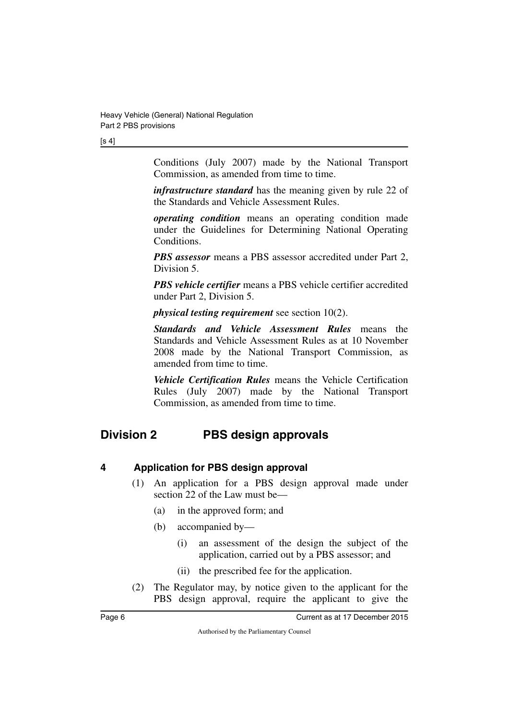[s 4]

Conditions (July 2007) made by the National Transport Commission, as amended from time to time.

*infrastructure standard* has the meaning given by rule 22 of the Standards and Vehicle Assessment Rules.

*operating condition* means an operating condition made under the Guidelines for Determining National Operating Conditions.

*PBS assessor* means a PBS assessor accredited under Part 2, Division 5.

*PBS vehicle certifier* means a PBS vehicle certifier accredited under Part 2, Division 5.

*physical testing requirement* see section 10(2).

*Standards and Vehicle Assessment Rules* means the Standards and Vehicle Assessment Rules as at 10 November 2008 made by the National Transport Commission, as amended from time to time.

<span id="page-7-1"></span>*Vehicle Certification Rules* means the Vehicle Certification Rules (July 2007) made by the National Transport Commission, as amended from time to time.

## <span id="page-7-0"></span>**Division 2 PBS design approvals**

## <span id="page-7-2"></span>**4 Application for PBS design approval**

- <span id="page-7-3"></span>(1) An application for a PBS design approval made under section 22 of the Law must be—
	- (a) in the approved form; and
	- (b) accompanied by—
		- (i) an assessment of the design the subject of the application, carried out by a PBS assessor; and
		- (ii) the prescribed fee for the application.
- (2) The Regulator may, by notice given to the applicant for the PBS design approval, require the applicant to give the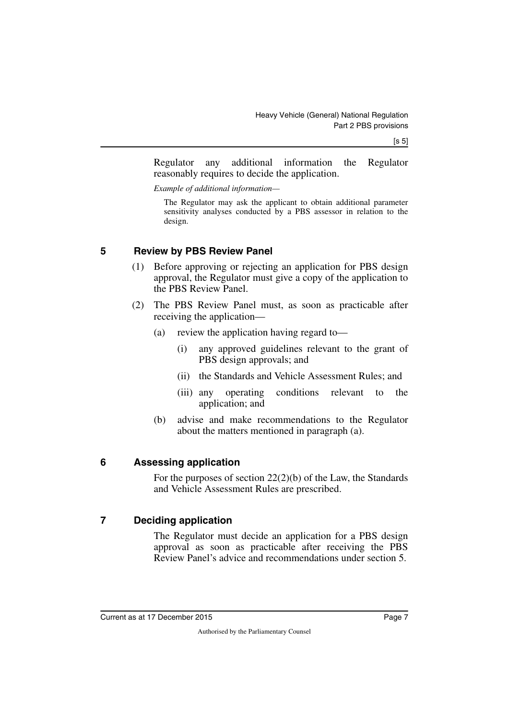$[s 5]$ 

Regulator any additional information the Regulator reasonably requires to decide the application.

*Example of additional information—*

The Regulator may ask the applicant to obtain additional parameter sensitivity analyses conducted by a PBS assessor in relation to the design.

## <span id="page-8-0"></span>**5 Review by PBS Review Panel**

- <span id="page-8-1"></span>(1) Before approving or rejecting an application for PBS design approval, the Regulator must give a copy of the application to the PBS Review Panel.
- (2) The PBS Review Panel must, as soon as practicable after receiving the application—
	- (a) review the application having regard to—
		- (i) any approved guidelines relevant to the grant of PBS design approvals; and
		- (ii) the Standards and Vehicle Assessment Rules; and
		- (iii) any operating conditions relevant to the application; and
	- (b) advise and make recommendations to the Regulator about the matters mentioned in paragraph (a).

## <span id="page-8-2"></span>**6 Assessing application**

<span id="page-8-3"></span>For the purposes of section 22(2)(b) of the Law, the Standards and Vehicle Assessment Rules are prescribed.

## <span id="page-8-4"></span>**7 Deciding application**

<span id="page-8-5"></span>The Regulator must decide an application for a PBS design approval as soon as practicable after receiving the PBS Review Panel's advice and recommendations under section 5.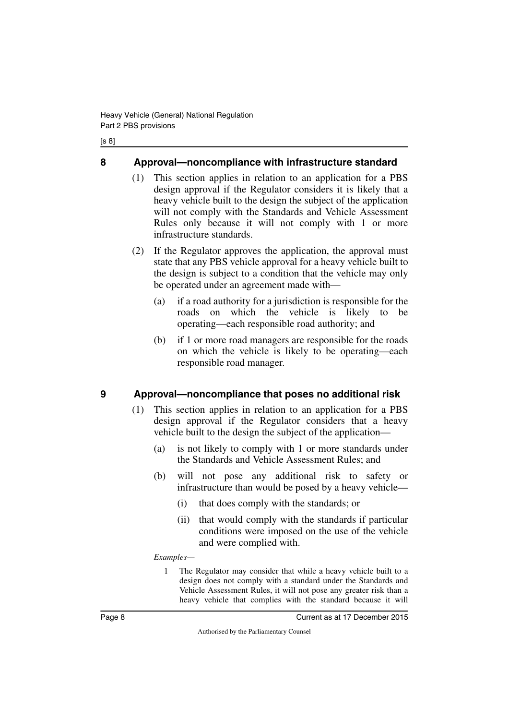#### [s 8]

## <span id="page-9-0"></span>**8 Approval—noncompliance with infrastructure standard**

- <span id="page-9-1"></span>(1) This section applies in relation to an application for a PBS design approval if the Regulator considers it is likely that a heavy vehicle built to the design the subject of the application will not comply with the Standards and Vehicle Assessment Rules only because it will not comply with 1 or more infrastructure standards.
- (2) If the Regulator approves the application, the approval must state that any PBS vehicle approval for a heavy vehicle built to the design is subject to a condition that the vehicle may only be operated under an agreement made with—
	- (a) if a road authority for a jurisdiction is responsible for the roads on which the vehicle is likely to be operating—each responsible road authority; and
	- (b) if 1 or more road managers are responsible for the roads on which the vehicle is likely to be operating—each responsible road manager.

## <span id="page-9-2"></span>**9 Approval—noncompliance that poses no additional risk**

- <span id="page-9-3"></span>(1) This section applies in relation to an application for a PBS design approval if the Regulator considers that a heavy vehicle built to the design the subject of the application—
	- (a) is not likely to comply with 1 or more standards under the Standards and Vehicle Assessment Rules; and
	- (b) will not pose any additional risk to safety or infrastructure than would be posed by a heavy vehicle—
		- (i) that does comply with the standards; or
		- (ii) that would comply with the standards if particular conditions were imposed on the use of the vehicle and were complied with.

#### *Examples—*

1 The Regulator may consider that while a heavy vehicle built to a design does not comply with a standard under the Standards and Vehicle Assessment Rules, it will not pose any greater risk than a heavy vehicle that complies with the standard because it will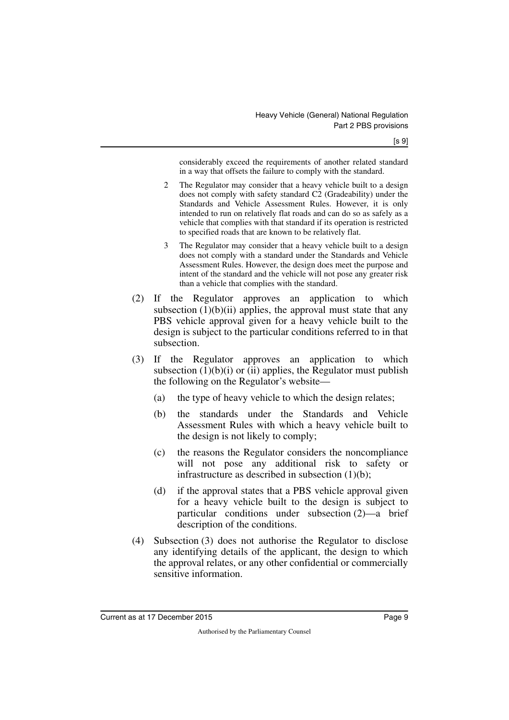considerably exceed the requirements of another related standard in a way that offsets the failure to comply with the standard.

- 2 The Regulator may consider that a heavy vehicle built to a design does not comply with safety standard C2 (Gradeability) under the Standards and Vehicle Assessment Rules. However, it is only intended to run on relatively flat roads and can do so as safely as a vehicle that complies with that standard if its operation is restricted to specified roads that are known to be relatively flat.
- 3 The Regulator may consider that a heavy vehicle built to a design does not comply with a standard under the Standards and Vehicle Assessment Rules. However, the design does meet the purpose and intent of the standard and the vehicle will not pose any greater risk than a vehicle that complies with the standard.
- (2) If the Regulator approves an application to which subsection  $(1)(b)(ii)$  applies, the approval must state that any PBS vehicle approval given for a heavy vehicle built to the design is subject to the particular conditions referred to in that subsection.
- (3) If the Regulator approves an application to which subsection  $(1)(b)(i)$  or  $(ii)$  applies, the Regulator must publish the following on the Regulator's website—
	- (a) the type of heavy vehicle to which the design relates;
	- (b) the standards under the Standards and Vehicle Assessment Rules with which a heavy vehicle built to the design is not likely to comply;
	- (c) the reasons the Regulator considers the noncompliance will not pose any additional risk to safety or infrastructure as described in subsection (1)(b);
	- (d) if the approval states that a PBS vehicle approval given for a heavy vehicle built to the design is subject to particular conditions under subsection (2)—a brief description of the conditions.
- (4) Subsection (3) does not authorise the Regulator to disclose any identifying details of the applicant, the design to which the approval relates, or any other confidential or commercially sensitive information.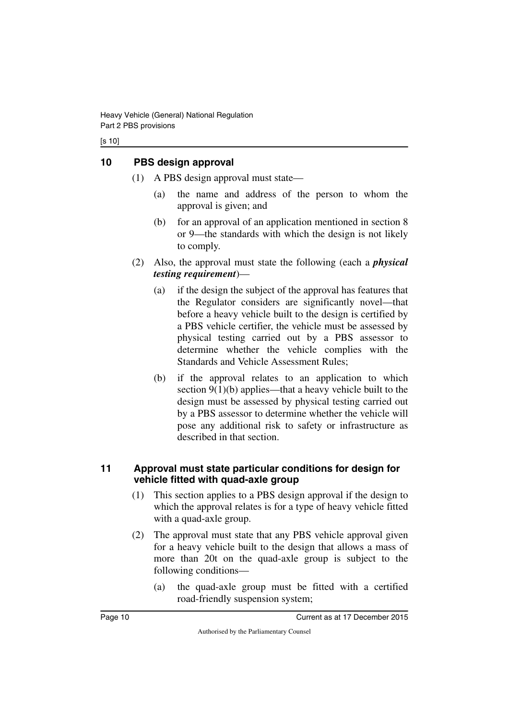#### [s 10]

## <span id="page-11-0"></span>**10 PBS design approval**

- <span id="page-11-1"></span>(1) A PBS design approval must state—
	- (a) the name and address of the person to whom the approval is given; and
	- (b) for an approval of an application mentioned in section 8 or 9—the standards with which the design is not likely to comply.
- (2) Also, the approval must state the following (each a *physical testing requirement*)—
	- (a) if the design the subject of the approval has features that the Regulator considers are significantly novel—that before a heavy vehicle built to the design is certified by a PBS vehicle certifier, the vehicle must be assessed by physical testing carried out by a PBS assessor to determine whether the vehicle complies with the Standards and Vehicle Assessment Rules;
	- (b) if the approval relates to an application to which section 9(1)(b) applies—that a heavy vehicle built to the design must be assessed by physical testing carried out by a PBS assessor to determine whether the vehicle will pose any additional risk to safety or infrastructure as described in that section.

### <span id="page-11-3"></span><span id="page-11-2"></span>**11 Approval must state particular conditions for design for vehicle fitted with quad-axle group**

- (1) This section applies to a PBS design approval if the design to which the approval relates is for a type of heavy vehicle fitted with a quad-axle group.
- (2) The approval must state that any PBS vehicle approval given for a heavy vehicle built to the design that allows a mass of more than 20t on the quad-axle group is subject to the following conditions—
	- (a) the quad-axle group must be fitted with a certified road-friendly suspension system;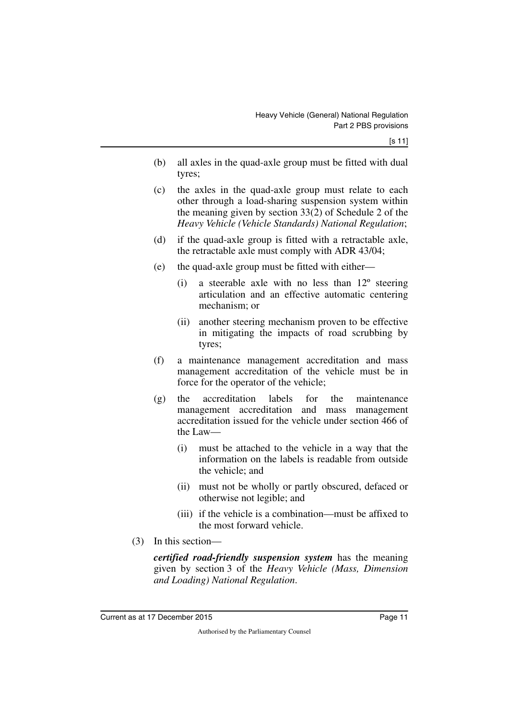- (b) all axles in the quad-axle group must be fitted with dual tyres;
- (c) the axles in the quad-axle group must relate to each other through a load-sharing suspension system within the meaning given by section 33(2) of Schedule 2 of the *Heavy Vehicle (Vehicle Standards) National Regulation*;
- (d) if the quad-axle group is fitted with a retractable axle, the retractable axle must comply with ADR 43/04;
- (e) the quad-axle group must be fitted with either—
	- (i) a steerable axle with no less than 12º steering articulation and an effective automatic centering mechanism; or
	- (ii) another steering mechanism proven to be effective in mitigating the impacts of road scrubbing by tyres;
- (f) a maintenance management accreditation and mass management accreditation of the vehicle must be in force for the operator of the vehicle;
- (g) the accreditation labels for the maintenance management accreditation and mass management accreditation issued for the vehicle under section 466 of the Law—
	- (i) must be attached to the vehicle in a way that the information on the labels is readable from outside the vehicle; and
	- (ii) must not be wholly or partly obscured, defaced or otherwise not legible; and
	- (iii) if the vehicle is a combination—must be affixed to the most forward vehicle.
- (3) In this section—

*certified road-friendly suspension system* has the meaning given by section 3 of the *Heavy Vehicle (Mass, Dimension and Loading) National Regulation*.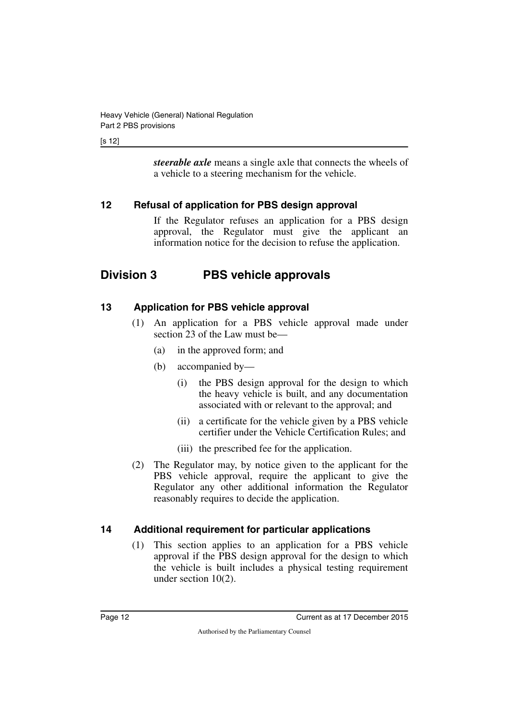#### [s 12]

*steerable axle* means a single axle that connects the wheels of a vehicle to a steering mechanism for the vehicle.

## <span id="page-13-0"></span>**12 Refusal of application for PBS design approval**

<span id="page-13-3"></span><span id="page-13-1"></span>If the Regulator refuses an application for a PBS design approval, the Regulator must give the applicant an information notice for the decision to refuse the application.

## <span id="page-13-2"></span>**Division 3 PBS vehicle approvals**

## <span id="page-13-4"></span>**13 Application for PBS vehicle approval**

- <span id="page-13-5"></span>(1) An application for a PBS vehicle approval made under section 23 of the Law must be—
	- (a) in the approved form; and
	- (b) accompanied by—
		- (i) the PBS design approval for the design to which the heavy vehicle is built, and any documentation associated with or relevant to the approval; and
		- (ii) a certificate for the vehicle given by a PBS vehicle certifier under the Vehicle Certification Rules; and
		- (iii) the prescribed fee for the application.
- (2) The Regulator may, by notice given to the applicant for the PBS vehicle approval, require the applicant to give the Regulator any other additional information the Regulator reasonably requires to decide the application.

## <span id="page-13-6"></span>**14 Additional requirement for particular applications**

<span id="page-13-7"></span>(1) This section applies to an application for a PBS vehicle approval if the PBS design approval for the design to which the vehicle is built includes a physical testing requirement under section 10(2).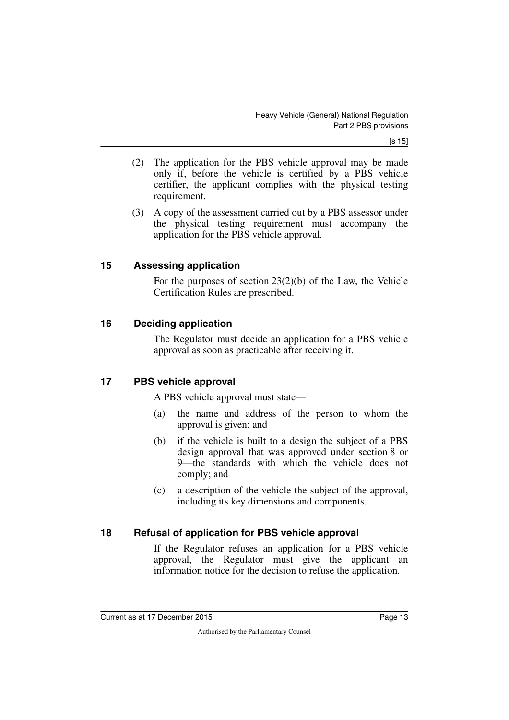[s 15]

- (2) The application for the PBS vehicle approval may be made only if, before the vehicle is certified by a PBS vehicle certifier, the applicant complies with the physical testing requirement.
- (3) A copy of the assessment carried out by a PBS assessor under the physical testing requirement must accompany the application for the PBS vehicle approval.

### <span id="page-14-0"></span>**15 Assessing application**

<span id="page-14-1"></span>For the purposes of section 23(2)(b) of the Law, the Vehicle Certification Rules are prescribed.

## <span id="page-14-2"></span>**16 Deciding application**

<span id="page-14-3"></span>The Regulator must decide an application for a PBS vehicle approval as soon as practicable after receiving it.

## <span id="page-14-4"></span>**17 PBS vehicle approval**

<span id="page-14-5"></span>A PBS vehicle approval must state—

- (a) the name and address of the person to whom the approval is given; and
- (b) if the vehicle is built to a design the subject of a PBS design approval that was approved under section 8 or 9—the standards with which the vehicle does not comply; and
- (c) a description of the vehicle the subject of the approval, including its key dimensions and components.

## <span id="page-14-6"></span>**18 Refusal of application for PBS vehicle approval**

<span id="page-14-7"></span>If the Regulator refuses an application for a PBS vehicle approval, the Regulator must give the applicant an information notice for the decision to refuse the application.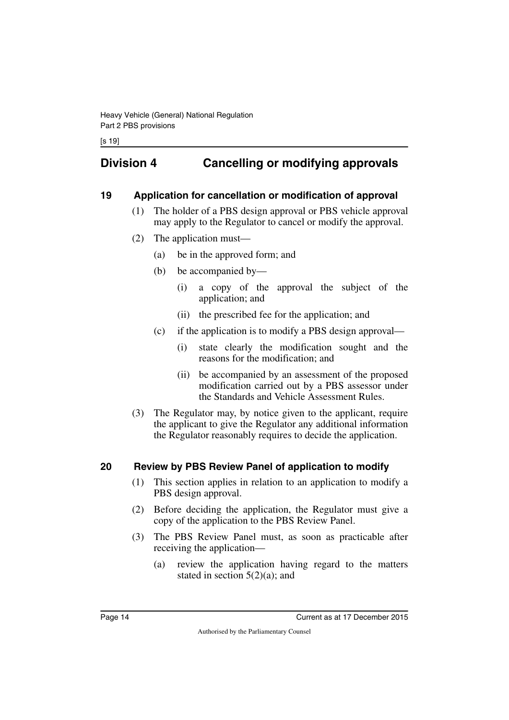## <span id="page-15-0"></span>**Division 4 Cancelling or modifying approvals**

## <span id="page-15-2"></span>**19 Application for cancellation or modification of approval**

- <span id="page-15-3"></span><span id="page-15-1"></span>(1) The holder of a PBS design approval or PBS vehicle approval may apply to the Regulator to cancel or modify the approval.
- (2) The application must—
	- (a) be in the approved form; and
	- (b) be accompanied by—
		- (i) a copy of the approval the subject of the application; and
		- (ii) the prescribed fee for the application; and
	- (c) if the application is to modify a PBS design approval—
		- (i) state clearly the modification sought and the reasons for the modification; and
		- (ii) be accompanied by an assessment of the proposed modification carried out by a PBS assessor under the Standards and Vehicle Assessment Rules.
- (3) The Regulator may, by notice given to the applicant, require the applicant to give the Regulator any additional information the Regulator reasonably requires to decide the application.

## <span id="page-15-4"></span>**20 Review by PBS Review Panel of application to modify**

- <span id="page-15-5"></span>(1) This section applies in relation to an application to modify a PBS design approval.
- (2) Before deciding the application, the Regulator must give a copy of the application to the PBS Review Panel.
- (3) The PBS Review Panel must, as soon as practicable after receiving the application—
	- (a) review the application having regard to the matters stated in section  $5(2)(a)$ ; and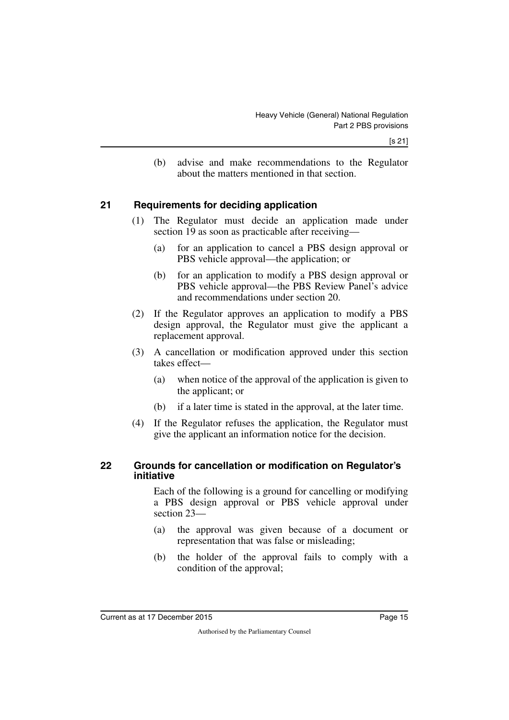(b) advise and make recommendations to the Regulator about the matters mentioned in that section.

## <span id="page-16-0"></span>**21 Requirements for deciding application**

- <span id="page-16-1"></span>(1) The Regulator must decide an application made under section 19 as soon as practicable after receiving—
	- (a) for an application to cancel a PBS design approval or PBS vehicle approval—the application; or
	- (b) for an application to modify a PBS design approval or PBS vehicle approval—the PBS Review Panel's advice and recommendations under section 20.
- (2) If the Regulator approves an application to modify a PBS design approval, the Regulator must give the applicant a replacement approval.
- (3) A cancellation or modification approved under this section takes effect—
	- (a) when notice of the approval of the application is given to the applicant; or
	- (b) if a later time is stated in the approval, at the later time.
- <span id="page-16-3"></span>(4) If the Regulator refuses the application, the Regulator must give the applicant an information notice for the decision.

#### <span id="page-16-2"></span>**22 Grounds for cancellation or modification on Regulator's initiative**

Each of the following is a ground for cancelling or modifying a PBS design approval or PBS vehicle approval under section 23—

- (a) the approval was given because of a document or representation that was false or misleading;
- (b) the holder of the approval fails to comply with a condition of the approval;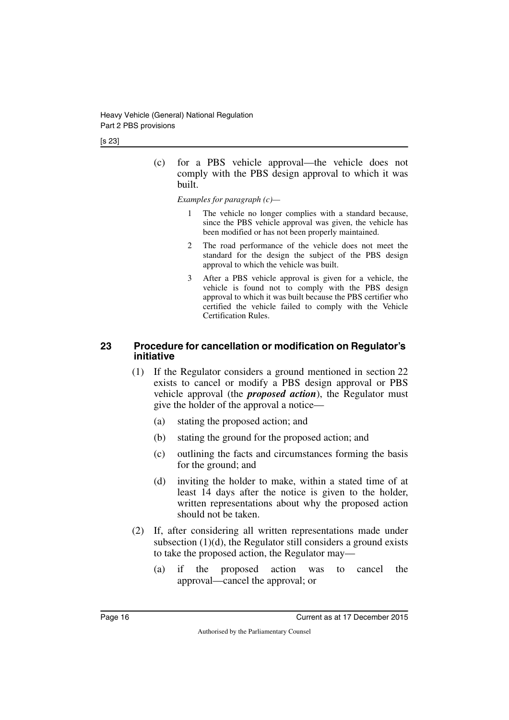(c) for a PBS vehicle approval—the vehicle does not comply with the PBS design approval to which it was built.

*Examples for paragraph (c)—*

- 1 The vehicle no longer complies with a standard because, since the PBS vehicle approval was given, the vehicle has been modified or has not been properly maintained.
- 2 The road performance of the vehicle does not meet the standard for the design the subject of the PBS design approval to which the vehicle was built.
- 3 After a PBS vehicle approval is given for a vehicle, the vehicle is found not to comply with the PBS design approval to which it was built because the PBS certifier who certified the vehicle failed to comply with the Vehicle Certification Rules.

### <span id="page-17-1"></span><span id="page-17-0"></span>**23 Procedure for cancellation or modification on Regulator's initiative**

- (1) If the Regulator considers a ground mentioned in section 22 exists to cancel or modify a PBS design approval or PBS vehicle approval (the *proposed action*), the Regulator must give the holder of the approval a notice—
	- (a) stating the proposed action; and
	- (b) stating the ground for the proposed action; and
	- (c) outlining the facts and circumstances forming the basis for the ground; and
	- (d) inviting the holder to make, within a stated time of at least 14 days after the notice is given to the holder, written representations about why the proposed action should not be taken.
- (2) If, after considering all written representations made under subsection (1)(d), the Regulator still considers a ground exists to take the proposed action, the Regulator may—
	- (a) if the proposed action was to cancel the approval—cancel the approval; or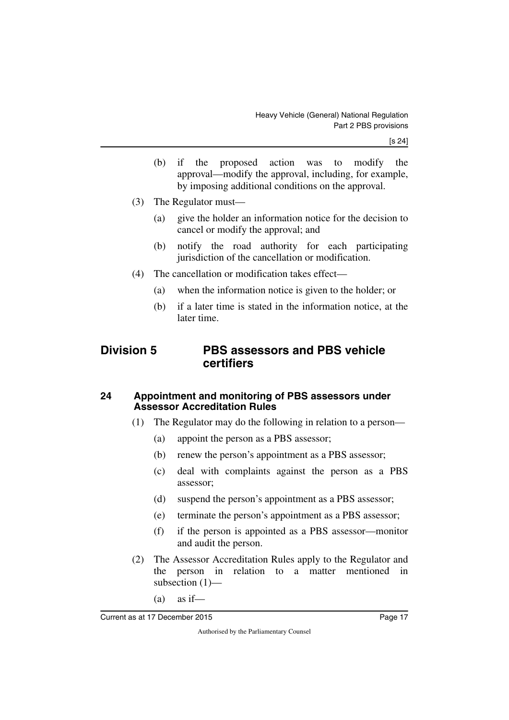- (b) if the proposed action was to modify the approval—modify the approval, including, for example, by imposing additional conditions on the approval.
- (3) The Regulator must—
	- (a) give the holder an information notice for the decision to cancel or modify the approval; and
	- (b) notify the road authority for each participating jurisdiction of the cancellation or modification.
- <span id="page-18-1"></span>(4) The cancellation or modification takes effect—
	- (a) when the information notice is given to the holder; or
	- (b) if a later time is stated in the information notice, at the later time.

## <span id="page-18-0"></span>**Division 5 PBS assessors and PBS vehicle certifiers**

### <span id="page-18-3"></span><span id="page-18-2"></span>**24 Appointment and monitoring of PBS assessors under Assessor Accreditation Rules**

- (1) The Regulator may do the following in relation to a person—
	- (a) appoint the person as a PBS assessor;
	- (b) renew the person's appointment as a PBS assessor;
	- (c) deal with complaints against the person as a PBS assessor;
	- (d) suspend the person's appointment as a PBS assessor;
	- (e) terminate the person's appointment as a PBS assessor;
	- (f) if the person is appointed as a PBS assessor—monitor and audit the person.
- (2) The Assessor Accreditation Rules apply to the Regulator and the person in relation to a matter mentioned in subsection (1)—
	- $(a)$  as if—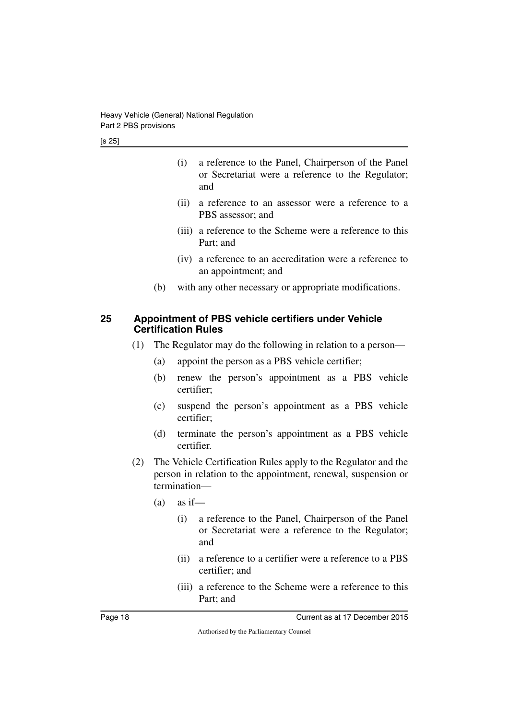- (i) a reference to the Panel, Chairperson of the Panel or Secretariat were a reference to the Regulator; and
- (ii) a reference to an assessor were a reference to a PBS assessor; and
- (iii) a reference to the Scheme were a reference to this Part; and
- (iv) a reference to an accreditation were a reference to an appointment; and
- <span id="page-19-1"></span>(b) with any other necessary or appropriate modifications.

### <span id="page-19-0"></span>**25 Appointment of PBS vehicle certifiers under Vehicle Certification Rules**

- (1) The Regulator may do the following in relation to a person—
	- (a) appoint the person as a PBS vehicle certifier;
	- (b) renew the person's appointment as a PBS vehicle certifier;
	- (c) suspend the person's appointment as a PBS vehicle certifier;
	- (d) terminate the person's appointment as a PBS vehicle certifier.
- (2) The Vehicle Certification Rules apply to the Regulator and the person in relation to the appointment, renewal, suspension or termination—
	- $(a)$  as if—
		- (i) a reference to the Panel, Chairperson of the Panel or Secretariat were a reference to the Regulator; and
		- (ii) a reference to a certifier were a reference to a PBS certifier; and
		- (iii) a reference to the Scheme were a reference to this Part; and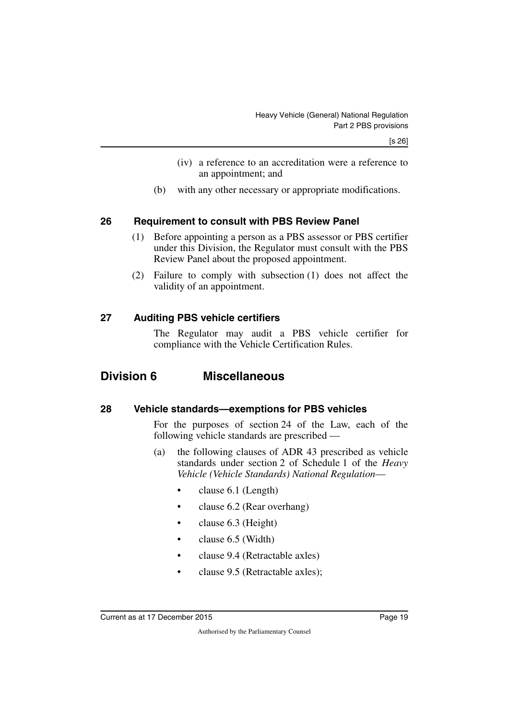- (iv) a reference to an accreditation were a reference to an appointment; and
- (b) with any other necessary or appropriate modifications.

## <span id="page-20-0"></span>**26 Requirement to consult with PBS Review Panel**

- <span id="page-20-1"></span>(1) Before appointing a person as a PBS assessor or PBS certifier under this Division, the Regulator must consult with the PBS Review Panel about the proposed appointment.
- (2) Failure to comply with subsection (1) does not affect the validity of an appointment.

## <span id="page-20-2"></span>**27 Auditing PBS vehicle certifiers**

<span id="page-20-5"></span><span id="page-20-3"></span>The Regulator may audit a PBS vehicle certifier for compliance with the Vehicle Certification Rules.

## <span id="page-20-4"></span>**Division 6 Miscellaneous**

### <span id="page-20-6"></span>**28 Vehicle standards—exemptions for PBS vehicles**

<span id="page-20-7"></span>For the purposes of section 24 of the Law, each of the following vehicle standards are prescribed —

- (a) the following clauses of ADR 43 prescribed as vehicle standards under section 2 of Schedule 1 of the *Heavy Vehicle (Vehicle Standards) National Regulation*—
	- clause 6.1 (Length)
	- clause 6.2 (Rear overhang)
	- clause 6.3 (Height)
	- clause 6.5 (Width)
	- clause 9.4 (Retractable axles)
	- clause 9.5 (Retractable axles);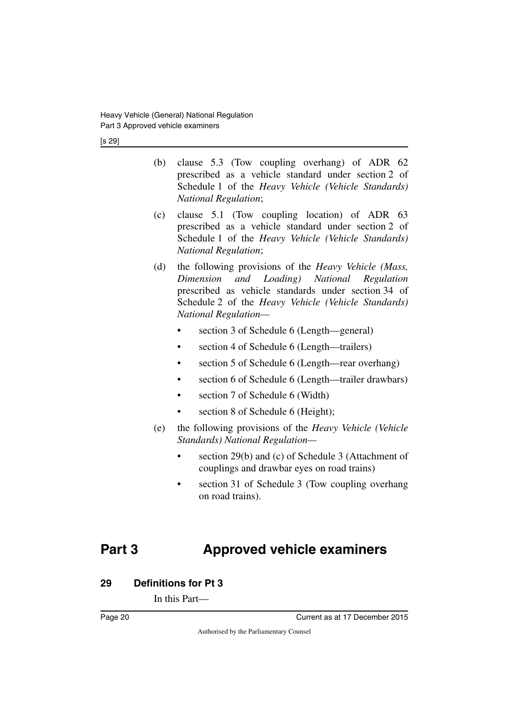[s 29]

- (b) clause 5.3 (Tow coupling overhang) of ADR 62 prescribed as a vehicle standard under section 2 of Schedule 1 of the *Heavy Vehicle (Vehicle Standards) National Regulation*;
- (c) clause 5.1 (Tow coupling location) of ADR 63 prescribed as a vehicle standard under section 2 of Schedule 1 of the *Heavy Vehicle (Vehicle Standards) National Regulation*;
- (d) the following provisions of the *Heavy Vehicle (Mass, Dimension and Loading) National Regulation* prescribed as vehicle standards under section 34 of Schedule 2 of the *Heavy Vehicle (Vehicle Standards) National Regulation—*
	- section 3 of Schedule 6 (Length—general)
	- section 4 of Schedule 6 (Length—trailers)
	- section 5 of Schedule 6 (Length—rear overhang)
	- section 6 of Schedule 6 (Length—trailer drawbars)
	- section 7 of Schedule 6 (Width)
	- section 8 of Schedule 6 (Height);
- (e) the following provisions of the *Heavy Vehicle (Vehicle Standards) National Regulation—*
	- section 29(b) and (c) of Schedule 3 (Attachment of couplings and drawbar eyes on road trains)
	- section 31 of Schedule 3 (Tow coupling overhang on road trains).

## <span id="page-21-0"></span>**Part 3 Approved vehicle examiners**

## <span id="page-21-2"></span>**29 Definitions for Pt 3**

<span id="page-21-3"></span><span id="page-21-1"></span>In this Part—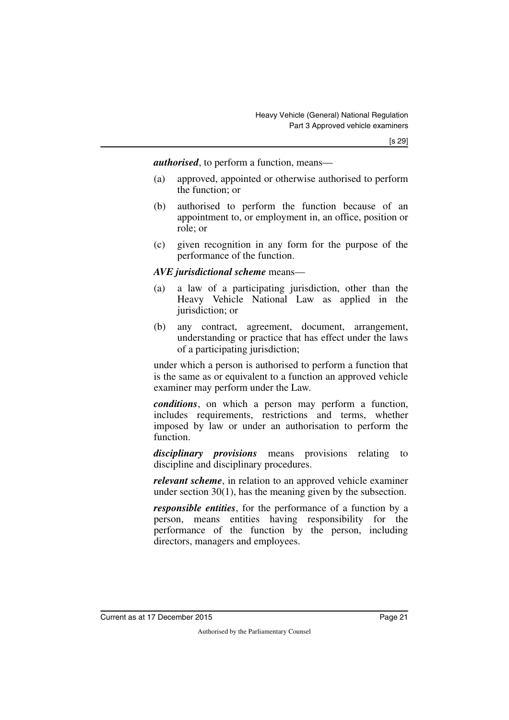*authorised*, to perform a function, means—

- (a) approved, appointed or otherwise authorised to perform the function; or
- (b) authorised to perform the function because of an appointment to, or employment in, an office, position or role; or
- (c) given recognition in any form for the purpose of the performance of the function.

#### *AVE jurisdictional scheme* means—

- (a) a law of a participating jurisdiction, other than the Heavy Vehicle National Law as applied in the jurisdiction; or
- (b) any contract, agreement, document, arrangement, understanding or practice that has effect under the laws of a participating jurisdiction;

under which a person is authorised to perform a function that is the same as or equivalent to a function an approved vehicle examiner may perform under the Law.

*conditions*, on which a person may perform a function, includes requirements, restrictions and terms, whether imposed by law or under an authorisation to perform the function.

*disciplinary provisions* means provisions relating to discipline and disciplinary procedures.

*relevant scheme*, in relation to an approved vehicle examiner under section 30(1), has the meaning given by the subsection.

*responsible entities*, for the performance of a function by a person, means entities having responsibility for the performance of the function by the person, including directors, managers and employees.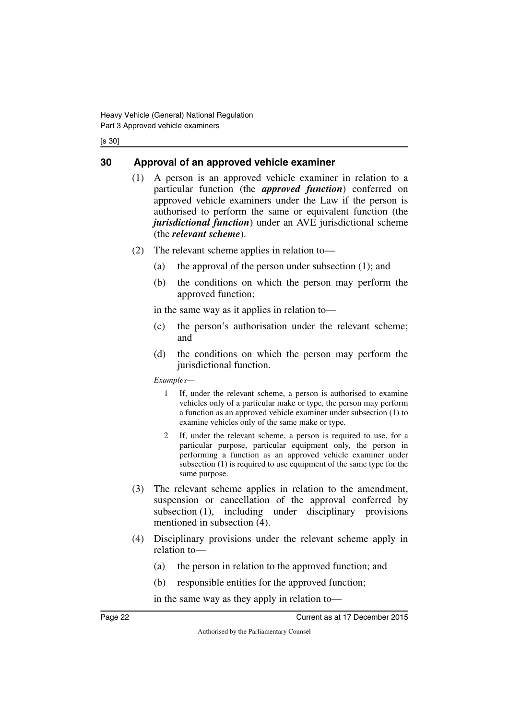[s 30]

## <span id="page-23-0"></span>**30 Approval of an approved vehicle examiner**

- <span id="page-23-1"></span>(1) A person is an approved vehicle examiner in relation to a particular function (the *approved function*) conferred on approved vehicle examiners under the Law if the person is authorised to perform the same or equivalent function (the *jurisdictional function*) under an AVE jurisdictional scheme (the *relevant scheme*).
- (2) The relevant scheme applies in relation to—
	- (a) the approval of the person under subsection (1); and
	- (b) the conditions on which the person may perform the approved function;

in the same way as it applies in relation to—

- (c) the person's authorisation under the relevant scheme; and
- (d) the conditions on which the person may perform the jurisdictional function.

*Examples—*

- 1 If, under the relevant scheme, a person is authorised to examine vehicles only of a particular make or type, the person may perform a function as an approved vehicle examiner under subsection (1) to examine vehicles only of the same make or type.
- 2 If, under the relevant scheme, a person is required to use, for a particular purpose, particular equipment only, the person in performing a function as an approved vehicle examiner under subsection (1) is required to use equipment of the same type for the same purpose.
- (3) The relevant scheme applies in relation to the amendment, suspension or cancellation of the approval conferred by subsection (1), including under disciplinary provisions mentioned in subsection (4).
- (4) Disciplinary provisions under the relevant scheme apply in relation to—
	- (a) the person in relation to the approved function; and
	- (b) responsible entities for the approved function;

in the same way as they apply in relation to—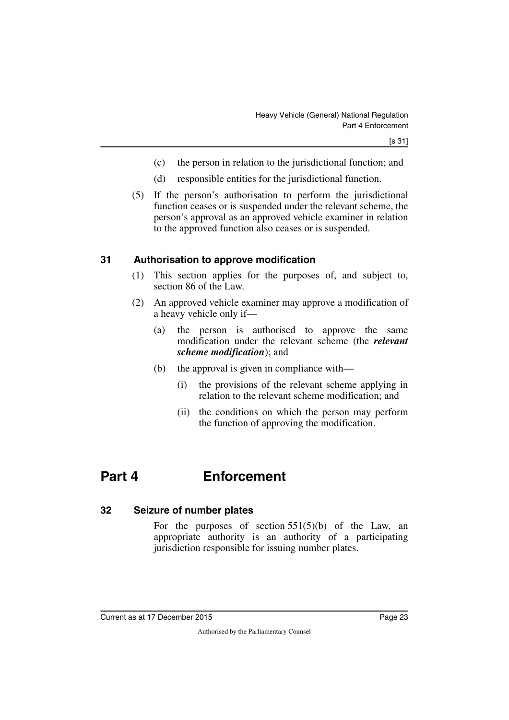- (c) the person in relation to the jurisdictional function; and
- (d) responsible entities for the jurisdictional function.
- (5) If the person's authorisation to perform the jurisdictional function ceases or is suspended under the relevant scheme, the person's approval as an approved vehicle examiner in relation to the approved function also ceases or is suspended.

## <span id="page-24-0"></span>**31 Authorisation to approve modification**

- <span id="page-24-1"></span>(1) This section applies for the purposes of, and subject to, section 86 of the Law.
- (2) An approved vehicle examiner may approve a modification of a heavy vehicle only if—
	- (a) the person is authorised to approve the same modification under the relevant scheme (the *relevant scheme modification*); and
	- (b) the approval is given in compliance with—
		- (i) the provisions of the relevant scheme applying in relation to the relevant scheme modification; and
		- (ii) the conditions on which the person may perform the function of approving the modification.

## <span id="page-24-2"></span>**Part 4 Enforcement**

### <span id="page-24-4"></span>**32 Seizure of number plates**

<span id="page-24-5"></span><span id="page-24-3"></span>For the purposes of section  $551(5)(b)$  of the Law, an appropriate authority is an authority of a participating jurisdiction responsible for issuing number plates.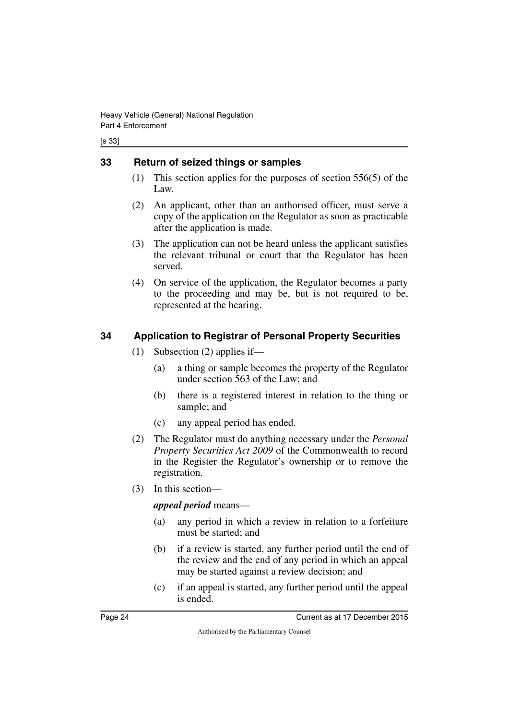[s 33]

## <span id="page-25-0"></span>**33 Return of seized things or samples**

- <span id="page-25-1"></span>(1) This section applies for the purposes of section 556(5) of the Law.
- (2) An applicant, other than an authorised officer, must serve a copy of the application on the Regulator as soon as practicable after the application is made.
- (3) The application can not be heard unless the applicant satisfies the relevant tribunal or court that the Regulator has been served.
- (4) On service of the application, the Regulator becomes a party to the proceeding and may be, but is not required to be, represented at the hearing.

## <span id="page-25-2"></span>**34 Application to Registrar of Personal Property Securities**

- <span id="page-25-3"></span>(1) Subsection (2) applies if—
	- (a) a thing or sample becomes the property of the Regulator under section 563 of the Law; and
	- (b) there is a registered interest in relation to the thing or sample; and
	- (c) any appeal period has ended.
- (2) The Regulator must do anything necessary under the *Personal Property Securities Act 2009* of the Commonwealth to record in the Register the Regulator's ownership or to remove the registration.
- (3) In this section—

## *appeal period* means—

- (a) any period in which a review in relation to a forfeiture must be started; and
- (b) if a review is started, any further period until the end of the review and the end of any period in which an appeal may be started against a review decision; and
- (c) if an appeal is started, any further period until the appeal is ended.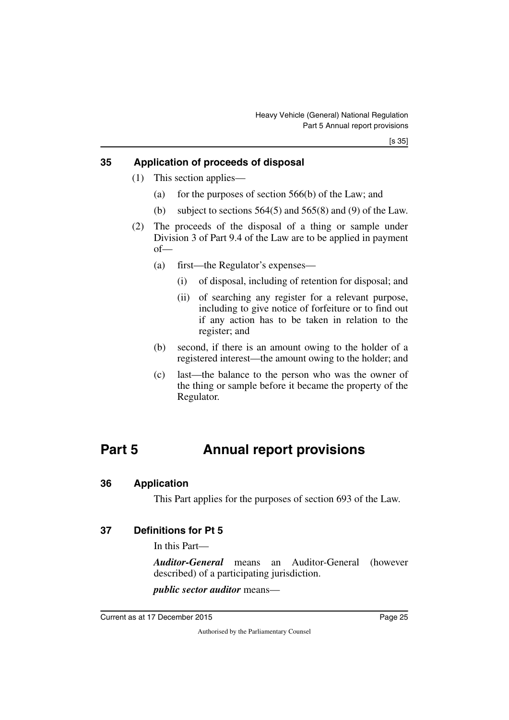## <span id="page-26-0"></span>**35 Application of proceeds of disposal**

- <span id="page-26-1"></span>(1) This section applies—
	- (a) for the purposes of section  $566(b)$  of the Law; and
	- (b) subject to sections  $564(5)$  and  $565(8)$  and (9) of the Law.
- (2) The proceeds of the disposal of a thing or sample under Division 3 of Part 9.4 of the Law are to be applied in payment of—
	- (a) first—the Regulator's expenses—
		- (i) of disposal, including of retention for disposal; and
		- (ii) of searching any register for a relevant purpose, including to give notice of forfeiture or to find out if any action has to be taken in relation to the register; and
	- (b) second, if there is an amount owing to the holder of a registered interest—the amount owing to the holder; and
	- (c) last—the balance to the person who was the owner of the thing or sample before it became the property of the Regulator.

## <span id="page-26-2"></span>**Part 5 Annual report provisions**

#### <span id="page-26-4"></span>**36 Application**

<span id="page-26-7"></span><span id="page-26-5"></span><span id="page-26-3"></span>This Part applies for the purposes of section 693 of the Law.

### <span id="page-26-6"></span>**37 Definitions for Pt 5**

In this Part—

*Auditor-General* means an Auditor-General (however described) of a participating jurisdiction.

*public sector auditor* means—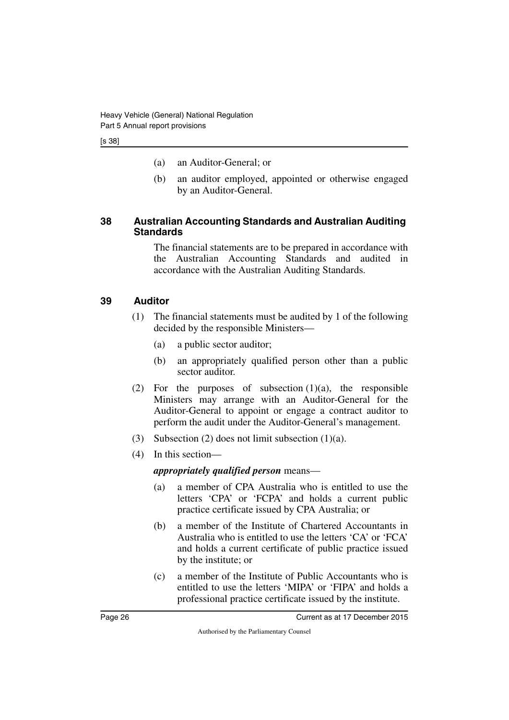- (a) an Auditor-General; or
- (b) an auditor employed, appointed or otherwise engaged by an Auditor-General.

### <span id="page-27-1"></span><span id="page-27-0"></span>**38 Australian Accounting Standards and Australian Auditing Standards**

The financial statements are to be prepared in accordance with the Australian Accounting Standards and audited in accordance with the Australian Auditing Standards.

## <span id="page-27-2"></span>**39 Auditor**

- <span id="page-27-3"></span>(1) The financial statements must be audited by 1 of the following decided by the responsible Ministers—
	- (a) a public sector auditor;
	- (b) an appropriately qualified person other than a public sector auditor.
- (2) For the purposes of subsection  $(1)(a)$ , the responsible Ministers may arrange with an Auditor-General for the Auditor-General to appoint or engage a contract auditor to perform the audit under the Auditor-General's management.
- (3) Subsection (2) does not limit subsection (1)(a).
- (4) In this section—

### *appropriately qualified person* means—

- (a) a member of CPA Australia who is entitled to use the letters 'CPA' or 'FCPA' and holds a current public practice certificate issued by CPA Australia; or
- (b) a member of the Institute of Chartered Accountants in Australia who is entitled to use the letters 'CA' or 'FCA' and holds a current certificate of public practice issued by the institute; or
- (c) a member of the Institute of Public Accountants who is entitled to use the letters 'MIPA' or 'FIPA' and holds a professional practice certificate issued by the institute.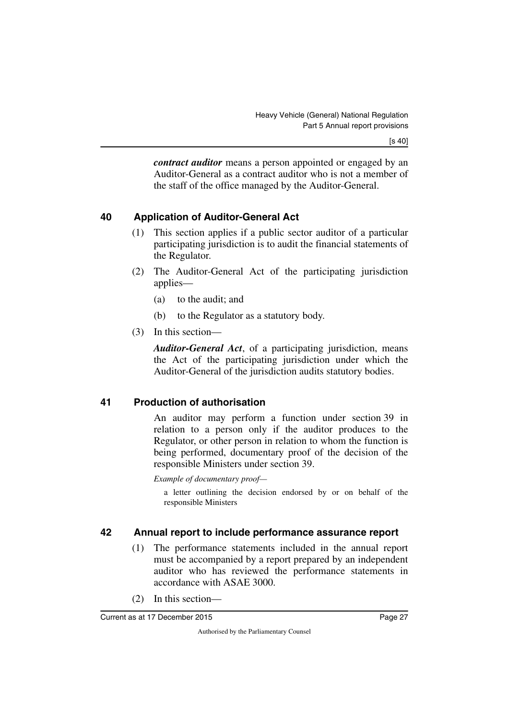*contract auditor* means a person appointed or engaged by an Auditor-General as a contract auditor who is not a member of the staff of the office managed by the Auditor-General.

## <span id="page-28-0"></span>**40 Application of Auditor-General Act**

- <span id="page-28-1"></span>(1) This section applies if a public sector auditor of a particular participating jurisdiction is to audit the financial statements of the Regulator.
- (2) The Auditor-General Act of the participating jurisdiction applies—
	- (a) to the audit; and
	- (b) to the Regulator as a statutory body.
- (3) In this section—

*Auditor-General Act*, of a participating jurisdiction, means the Act of the participating jurisdiction under which the Auditor-General of the jurisdiction audits statutory bodies.

## <span id="page-28-2"></span>**41 Production of authorisation**

<span id="page-28-3"></span>An auditor may perform a function under section 39 in relation to a person only if the auditor produces to the Regulator, or other person in relation to whom the function is being performed, documentary proof of the decision of the responsible Ministers under section 39.

*Example of documentary proof—*

a letter outlining the decision endorsed by or on behalf of the responsible Ministers

## <span id="page-28-4"></span>**42 Annual report to include performance assurance report**

- <span id="page-28-5"></span>(1) The performance statements included in the annual report must be accompanied by a report prepared by an independent auditor who has reviewed the performance statements in accordance with ASAE 3000.
- (2) In this section—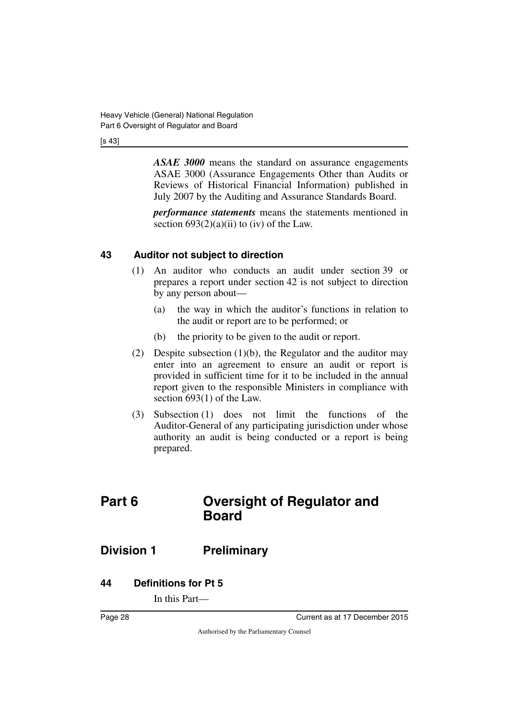#### [s 43]

*ASAE 3000* means the standard on assurance engagements ASAE 3000 (Assurance Engagements Other than Audits or Reviews of Historical Financial Information) published in July 2007 by the Auditing and Assurance Standards Board.

*performance statements* means the statements mentioned in section  $693(2)(a)(ii)$  to (iv) of the Law.

## <span id="page-29-0"></span>**43 Auditor not subject to direction**

- <span id="page-29-1"></span>(1) An auditor who conducts an audit under section 39 or prepares a report under section 42 is not subject to direction by any person about—
	- (a) the way in which the auditor's functions in relation to the audit or report are to be performed; or
	- (b) the priority to be given to the audit or report.
- (2) Despite subsection (1)(b), the Regulator and the auditor may enter into an agreement to ensure an audit or report is provided in sufficient time for it to be included in the annual report given to the responsible Ministers in compliance with section 693(1) of the Law.
- <span id="page-29-3"></span>(3) Subsection (1) does not limit the functions of the Auditor-General of any participating jurisdiction under whose authority an audit is being conducted or a report is being prepared.

## <span id="page-29-2"></span>**Part 6 Oversight of Regulator and Board**

## <span id="page-29-4"></span>**Division 1 Preliminary**

## <span id="page-29-6"></span>**44 Definitions for Pt 5**

<span id="page-29-7"></span><span id="page-29-5"></span>In this Part—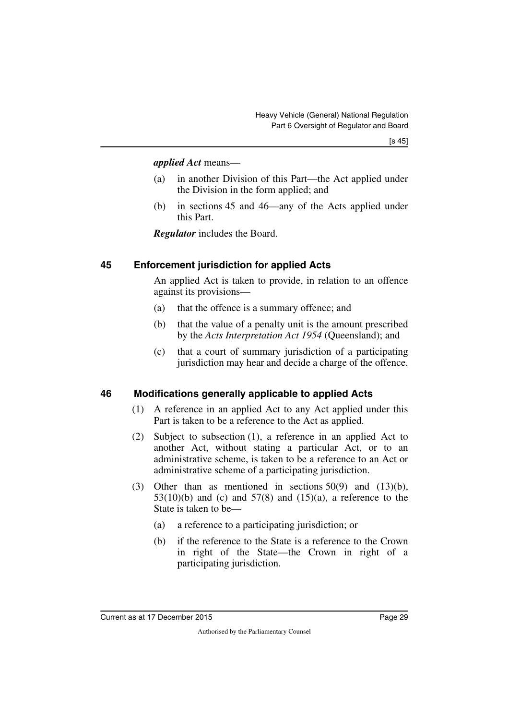#### *applied Act* means—

- (a) in another Division of this Part—the Act applied under the Division in the form applied; and
- (b) in sections 45 and 46—any of the Acts applied under this Part.

<span id="page-30-1"></span>*Regulator* includes the Board.

## <span id="page-30-0"></span>**45 Enforcement jurisdiction for applied Acts**

An applied Act is taken to provide, in relation to an offence against its provisions—

- (a) that the offence is a summary offence; and
- (b) that the value of a penalty unit is the amount prescribed by the *Acts Interpretation Act 1954* (Queensland); and
- (c) that a court of summary jurisdiction of a participating jurisdiction may hear and decide a charge of the offence.

## <span id="page-30-2"></span>**46 Modifications generally applicable to applied Acts**

- <span id="page-30-3"></span>(1) A reference in an applied Act to any Act applied under this Part is taken to be a reference to the Act as applied.
- (2) Subject to subsection (1), a reference in an applied Act to another Act, without stating a particular Act, or to an administrative scheme, is taken to be a reference to an Act or administrative scheme of a participating jurisdiction.
- (3) Other than as mentioned in sections  $50(9)$  and  $(13)(b)$ ,  $53(10)(b)$  and (c) and  $57(8)$  and  $(15)(a)$ , a reference to the State is taken to be—
	- (a) a reference to a participating jurisdiction; or
	- (b) if the reference to the State is a reference to the Crown in right of the State—the Crown in right of a participating jurisdiction.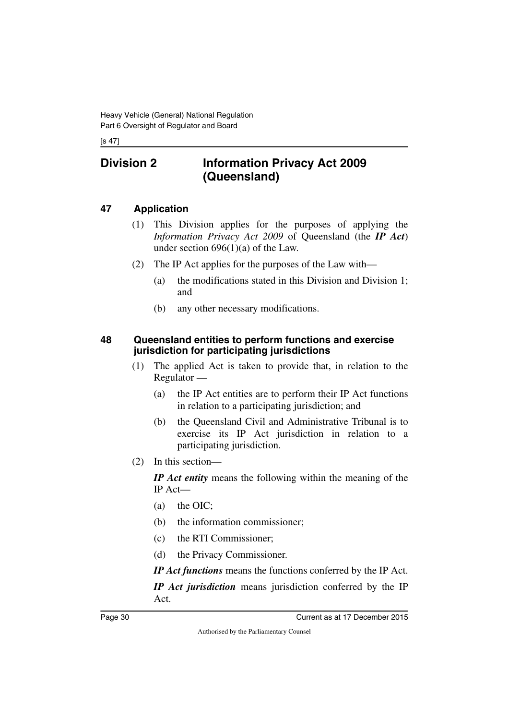#### [s 47]

## <span id="page-31-0"></span>**Division 2 Information Privacy Act 2009 (Queensland)**

## <span id="page-31-2"></span>**47 Application**

- <span id="page-31-3"></span><span id="page-31-1"></span>(1) This Division applies for the purposes of applying the *Information Privacy Act 2009* of Queensland (the *IP Act*) under section  $696(1)(a)$  of the Law.
- (2) The IP Act applies for the purposes of the Law with—
	- (a) the modifications stated in this Division and Division 1; and
	- (b) any other necessary modifications.

## <span id="page-31-5"></span><span id="page-31-4"></span>**48 Queensland entities to perform functions and exercise jurisdiction for participating jurisdictions**

- (1) The applied Act is taken to provide that, in relation to the Regulator —
	- (a) the IP Act entities are to perform their IP Act functions in relation to a participating jurisdiction; and
	- (b) the Queensland Civil and Administrative Tribunal is to exercise its IP Act jurisdiction in relation to a participating jurisdiction.
- (2) In this section—

*IP Act entity* means the following within the meaning of the IP Act—

- (a) the OIC;
- (b) the information commissioner;
- (c) the RTI Commissioner;
- (d) the Privacy Commissioner.

*IP Act functions* means the functions conferred by the IP Act.

*IP Act jurisdiction* means jurisdiction conferred by the IP Act.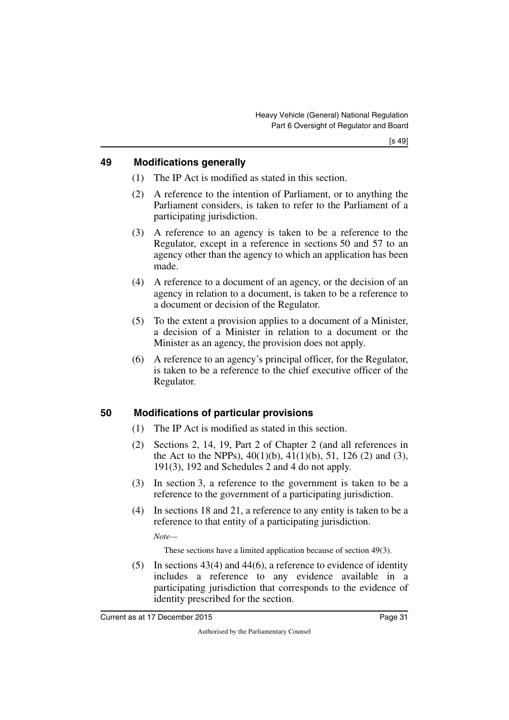## <span id="page-32-0"></span>**49 Modifications generally**

- <span id="page-32-1"></span>(1) The IP Act is modified as stated in this section.
- (2) A reference to the intention of Parliament, or to anything the Parliament considers, is taken to refer to the Parliament of a participating jurisdiction.
- (3) A reference to an agency is taken to be a reference to the Regulator, except in a reference in sections 50 and 57 to an agency other than the agency to which an application has been made.
- (4) A reference to a document of an agency, or the decision of an agency in relation to a document, is taken to be a reference to a document or decision of the Regulator.
- (5) To the extent a provision applies to a document of a Minister, a decision of a Minister in relation to a document or the Minister as an agency, the provision does not apply.
- (6) A reference to an agency's principal officer, for the Regulator, is taken to be a reference to the chief executive officer of the Regulator.

## <span id="page-32-2"></span>**50 Modifications of particular provisions**

- <span id="page-32-3"></span>(1) The IP Act is modified as stated in this section.
- (2) Sections 2, 14, 19, Part 2 of Chapter 2 (and all references in the Act to the NPPs),  $40(1)(b)$ ,  $41(1)(b)$ ,  $51$ ,  $126(2)$  and  $(3)$ , 191(3), 192 and Schedules 2 and 4 do not apply.
- (3) In section 3, a reference to the government is taken to be a reference to the government of a participating jurisdiction.
- (4) In sections 18 and 21, a reference to any entity is taken to be a reference to that entity of a participating jurisdiction.

*Note—*

These sections have a limited application because of section 49(3).

 $(5)$  In sections 43(4) and 44(6), a reference to evidence of identity includes a reference to any evidence available in a participating jurisdiction that corresponds to the evidence of identity prescribed for the section.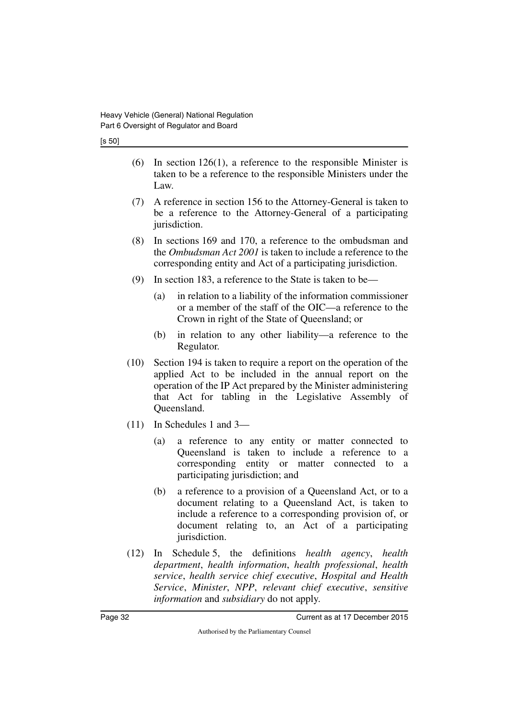[s 50]

- $(6)$  In section 126(1), a reference to the responsible Minister is taken to be a reference to the responsible Ministers under the Law.
- (7) A reference in section 156 to the Attorney-General is taken to be a reference to the Attorney-General of a participating jurisdiction.
- (8) In sections 169 and 170, a reference to the ombudsman and the *Ombudsman Act 2001* is taken to include a reference to the corresponding entity and Act of a participating jurisdiction.
- (9) In section 183, a reference to the State is taken to be—
	- (a) in relation to a liability of the information commissioner or a member of the staff of the OIC—a reference to the Crown in right of the State of Queensland; or
	- (b) in relation to any other liability—a reference to the Regulator.
- (10) Section 194 is taken to require a report on the operation of the applied Act to be included in the annual report on the operation of the IP Act prepared by the Minister administering that Act for tabling in the Legislative Assembly of Queensland.
- (11) In Schedules 1 and 3—
	- (a) a reference to any entity or matter connected to Queensland is taken to include a reference to a corresponding entity or matter connected to a participating jurisdiction; and
	- (b) a reference to a provision of a Queensland Act, or to a document relating to a Queensland Act, is taken to include a reference to a corresponding provision of, or document relating to, an Act of a participating jurisdiction.
- (12) In Schedule 5, the definitions *health agency*, *health department*, *health information*, *health professional*, *health service*, *health service chief executive*, *Hospital and Health Service*, *Minister*, *NPP*, *relevant chief executive*, *sensitive information* and *subsidiary* do not apply.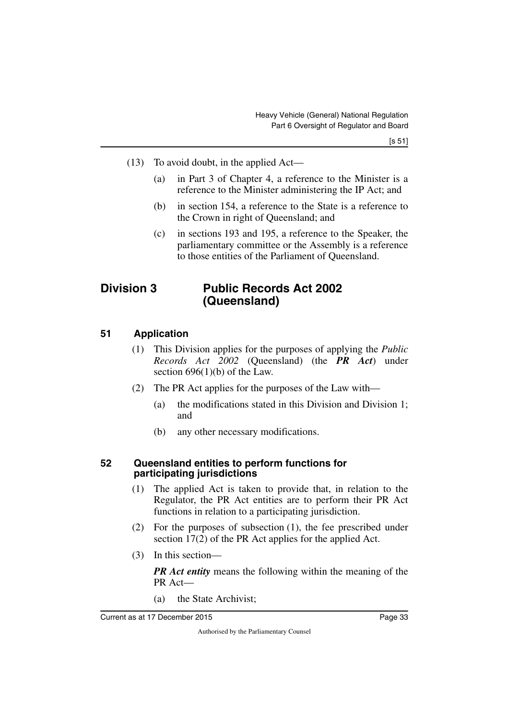- (13) To avoid doubt, in the applied Act—
	- (a) in Part 3 of Chapter 4, a reference to the Minister is a reference to the Minister administering the IP Act; and
	- (b) in section 154, a reference to the State is a reference to the Crown in right of Queensland; and
	- (c) in sections 193 and 195, a reference to the Speaker, the parliamentary committee or the Assembly is a reference to those entities of the Parliament of Queensland.

## <span id="page-34-0"></span>**Division 3 Public Records Act 2002 (Queensland)**

### <span id="page-34-2"></span>**51 Application**

- <span id="page-34-3"></span><span id="page-34-1"></span>(1) This Division applies for the purposes of applying the *Public Records Act 2002* (Queensland) (the *PR Act*) under section  $696(1)(b)$  of the Law.
- (2) The PR Act applies for the purposes of the Law with—
	- (a) the modifications stated in this Division and Division 1; and
	- (b) any other necessary modifications.

#### <span id="page-34-5"></span><span id="page-34-4"></span>**52 Queensland entities to perform functions for participating jurisdictions**

- (1) The applied Act is taken to provide that, in relation to the Regulator, the PR Act entities are to perform their PR Act functions in relation to a participating jurisdiction.
- (2) For the purposes of subsection (1), the fee prescribed under section 17(2) of the PR Act applies for the applied Act.
- (3) In this section—

*PR Act entity* means the following within the meaning of the PR Act—

(a) the State Archivist;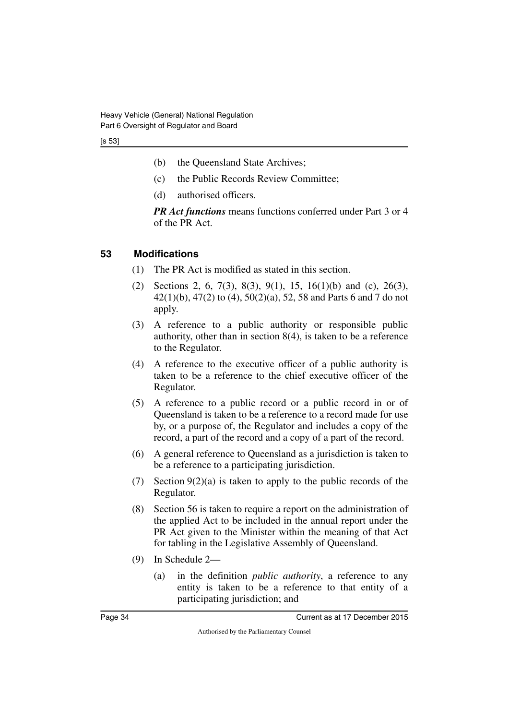[s 53]

- (b) the Queensland State Archives;
- (c) the Public Records Review Committee;
- (d) authorised officers.

*PR Act functions* means functions conferred under Part 3 or 4 of the PR Act.

## <span id="page-35-0"></span>**53 Modifications**

- <span id="page-35-1"></span>(1) The PR Act is modified as stated in this section.
- (2) Sections 2, 6, 7(3), 8(3), 9(1), 15, 16(1)(b) and (c), 26(3), 42(1)(b), 47(2) to (4), 50(2)(a), 52, 58 and Parts 6 and 7 do not apply.
- (3) A reference to a public authority or responsible public authority, other than in section 8(4), is taken to be a reference to the Regulator.
- (4) A reference to the executive officer of a public authority is taken to be a reference to the chief executive officer of the Regulator.
- (5) A reference to a public record or a public record in or of Queensland is taken to be a reference to a record made for use by, or a purpose of, the Regulator and includes a copy of the record, a part of the record and a copy of a part of the record.
- (6) A general reference to Queensland as a jurisdiction is taken to be a reference to a participating jurisdiction.
- (7) Section  $9(2)(a)$  is taken to apply to the public records of the Regulator.
- (8) Section 56 is taken to require a report on the administration of the applied Act to be included in the annual report under the PR Act given to the Minister within the meaning of that Act for tabling in the Legislative Assembly of Queensland.
- (9) In Schedule 2—
	- (a) in the definition *public authority*, a reference to any entity is taken to be a reference to that entity of a participating jurisdiction; and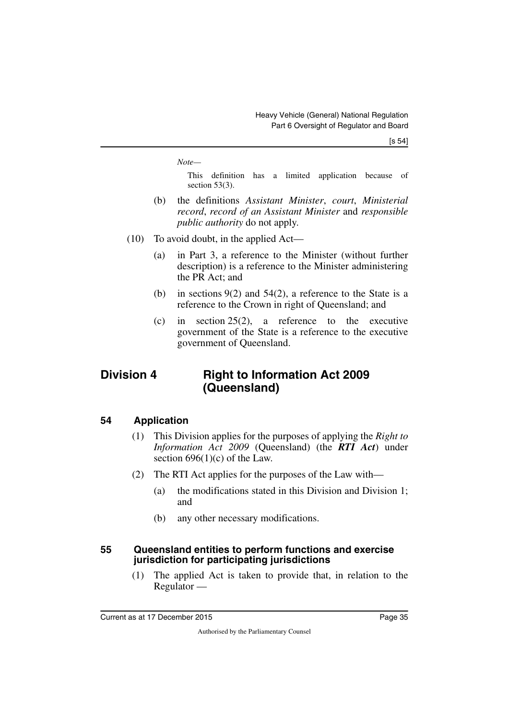*Note—*

This definition has a limited application because of section 53(3).

- (b) the definitions *Assistant Minister*, *court*, *Ministerial record*, *record of an Assistant Minister* and *responsible public authority* do not apply.
- (10) To avoid doubt, in the applied Act—
	- (a) in Part 3, a reference to the Minister (without further description) is a reference to the Minister administering the PR Act; and
	- (b) in sections 9(2) and 54(2), a reference to the State is a reference to the Crown in right of Queensland; and
	- (c) in section 25(2), a reference to the executive government of the State is a reference to the executive government of Queensland.

## <span id="page-36-0"></span>**Division 4 Right to Information Act 2009 (Queensland)**

## <span id="page-36-2"></span>**54 Application**

- <span id="page-36-3"></span><span id="page-36-1"></span>(1) This Division applies for the purposes of applying the *Right to Information Act 2009* (Queensland) (the *RTI Act*) under section  $696(1)(c)$  of the Law.
- (2) The RTI Act applies for the purposes of the Law with—
	- (a) the modifications stated in this Division and Division 1; and
	- (b) any other necessary modifications.

### <span id="page-36-5"></span><span id="page-36-4"></span>**55 Queensland entities to perform functions and exercise jurisdiction for participating jurisdictions**

(1) The applied Act is taken to provide that, in relation to the Regulator —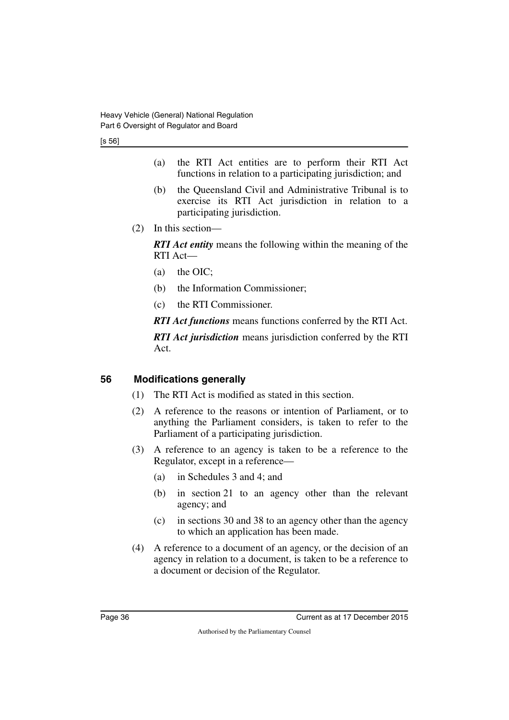[s 56]

- (a) the RTI Act entities are to perform their RTI Act functions in relation to a participating jurisdiction; and
- (b) the Queensland Civil and Administrative Tribunal is to exercise its RTI Act jurisdiction in relation to a participating jurisdiction.
- (2) In this section—

*RTI Act entity* means the following within the meaning of the RTI Act—

- (a) the OIC;
- (b) the Information Commissioner;
- (c) the RTI Commissioner.

*RTI Act functions* means functions conferred by the RTI Act.

*RTI Act jurisdiction* means jurisdiction conferred by the RTI Act.

## <span id="page-37-0"></span>**56 Modifications generally**

- <span id="page-37-1"></span>(1) The RTI Act is modified as stated in this section.
- (2) A reference to the reasons or intention of Parliament, or to anything the Parliament considers, is taken to refer to the Parliament of a participating jurisdiction.
- (3) A reference to an agency is taken to be a reference to the Regulator, except in a reference—
	- (a) in Schedules 3 and 4; and
	- (b) in section 21 to an agency other than the relevant agency; and
	- (c) in sections 30 and 38 to an agency other than the agency to which an application has been made.
- (4) A reference to a document of an agency, or the decision of an agency in relation to a document, is taken to be a reference to a document or decision of the Regulator.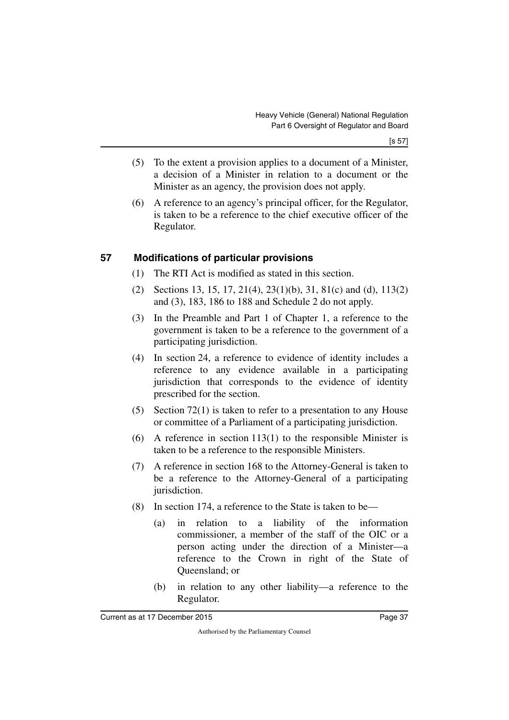- (5) To the extent a provision applies to a document of a Minister, a decision of a Minister in relation to a document or the Minister as an agency, the provision does not apply.
- (6) A reference to an agency's principal officer, for the Regulator, is taken to be a reference to the chief executive officer of the Regulator.

## <span id="page-38-0"></span>**57 Modifications of particular provisions**

- <span id="page-38-1"></span>(1) The RTI Act is modified as stated in this section.
- (2) Sections 13, 15, 17, 21(4), 23(1)(b), 31, 81(c) and (d), 113(2) and (3), 183, 186 to 188 and Schedule 2 do not apply.
- (3) In the Preamble and Part 1 of Chapter 1, a reference to the government is taken to be a reference to the government of a participating jurisdiction.
- (4) In section 24, a reference to evidence of identity includes a reference to any evidence available in a participating jurisdiction that corresponds to the evidence of identity prescribed for the section.
- (5) Section 72(1) is taken to refer to a presentation to any House or committee of a Parliament of a participating jurisdiction.
- (6) A reference in section 113(1) to the responsible Minister is taken to be a reference to the responsible Ministers.
- (7) A reference in section 168 to the Attorney-General is taken to be a reference to the Attorney-General of a participating jurisdiction.
- (8) In section 174, a reference to the State is taken to be—
	- (a) in relation to a liability of the information commissioner, a member of the staff of the OIC or a person acting under the direction of a Minister—a reference to the Crown in right of the State of Queensland; or
	- (b) in relation to any other liability—a reference to the Regulator.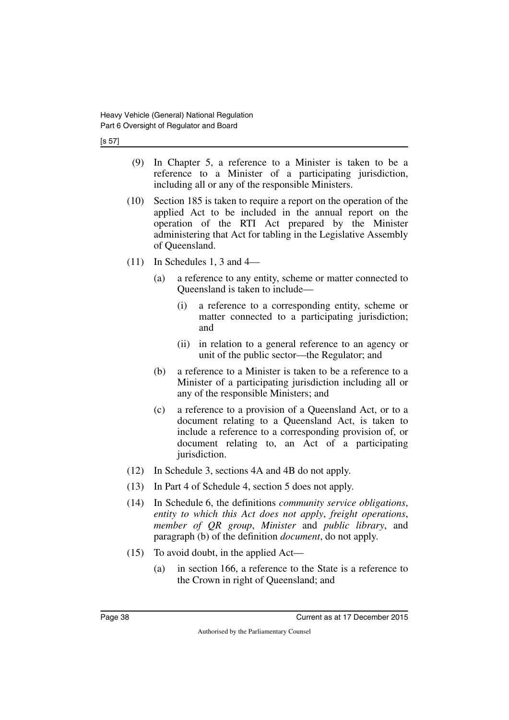[s 57]

- (9) In Chapter 5, a reference to a Minister is taken to be a reference to a Minister of a participating jurisdiction, including all or any of the responsible Ministers.
- (10) Section 185 is taken to require a report on the operation of the applied Act to be included in the annual report on the operation of the RTI Act prepared by the Minister administering that Act for tabling in the Legislative Assembly of Queensland.
- (11) In Schedules 1, 3 and 4—
	- (a) a reference to any entity, scheme or matter connected to Queensland is taken to include—
		- (i) a reference to a corresponding entity, scheme or matter connected to a participating jurisdiction; and
		- (ii) in relation to a general reference to an agency or unit of the public sector—the Regulator; and
	- (b) a reference to a Minister is taken to be a reference to a Minister of a participating jurisdiction including all or any of the responsible Ministers; and
	- (c) a reference to a provision of a Queensland Act, or to a document relating to a Queensland Act, is taken to include a reference to a corresponding provision of, or document relating to, an Act of a participating jurisdiction.
- (12) In Schedule 3, sections 4A and 4B do not apply.
- (13) In Part 4 of Schedule 4, section 5 does not apply.
- (14) In Schedule 6, the definitions *community service obligations*, *entity to which this Act does not apply*, *freight operations*, *member of QR group*, *Minister* and *public library*, and paragraph (b) of the definition *document*, do not apply.
- (15) To avoid doubt, in the applied Act—
	- (a) in section 166, a reference to the State is a reference to the Crown in right of Queensland; and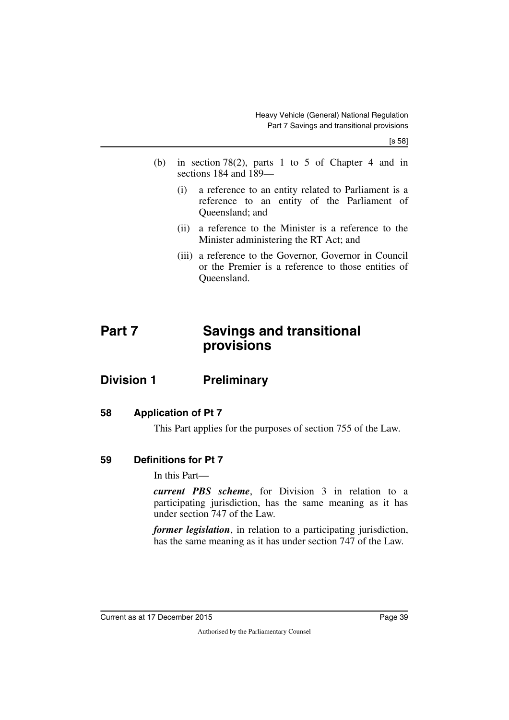[s 58]

- (b) in section 78(2), parts 1 to 5 of Chapter 4 and in sections 184 and 189—
	- (i) a reference to an entity related to Parliament is a reference to an entity of the Parliament of Queensland; and
	- (ii) a reference to the Minister is a reference to the Minister administering the RT Act; and
	- (iii) a reference to the Governor, Governor in Council or the Premier is a reference to those entities of Queensland.

## <span id="page-40-1"></span><span id="page-40-0"></span>**Part 7 Savings and transitional provisions**

## <span id="page-40-2"></span>**Division 1 Preliminary**

## <span id="page-40-4"></span>**58 Application of Pt 7**

<span id="page-40-7"></span><span id="page-40-5"></span><span id="page-40-3"></span>This Part applies for the purposes of section 755 of the Law.

## <span id="page-40-6"></span>**59 Definitions for Pt 7**

In this Part—

*current PBS scheme*, for Division 3 in relation to a participating jurisdiction, has the same meaning as it has under section 747 of the Law.

*former legislation*, in relation to a participating jurisdiction, has the same meaning as it has under section 747 of the Law.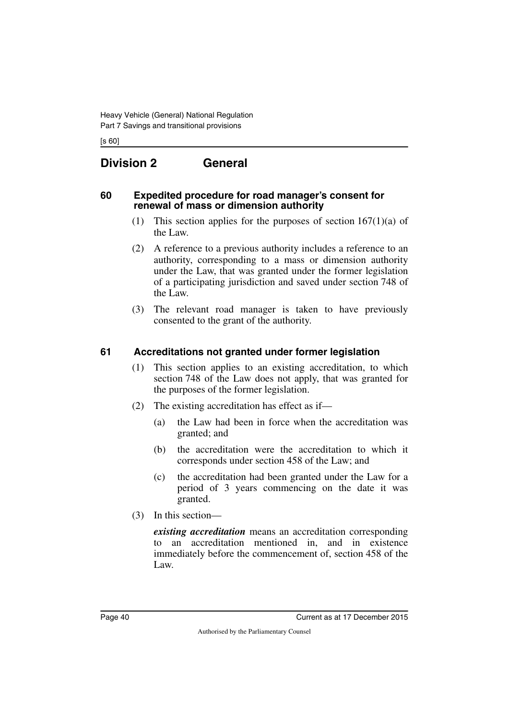[s 60]

## <span id="page-41-0"></span>**Division 2 General**

#### <span id="page-41-2"></span>**60 Expedited procedure for road manager's consent for renewal of mass or dimension authority**

- <span id="page-41-3"></span><span id="page-41-1"></span>(1) This section applies for the purposes of section  $167(1)(a)$  of the Law.
- (2) A reference to a previous authority includes a reference to an authority, corresponding to a mass or dimension authority under the Law, that was granted under the former legislation of a participating jurisdiction and saved under section 748 of the Law.
- (3) The relevant road manager is taken to have previously consented to the grant of the authority.

## <span id="page-41-4"></span>**61 Accreditations not granted under former legislation**

- <span id="page-41-5"></span>(1) This section applies to an existing accreditation, to which section 748 of the Law does not apply, that was granted for the purposes of the former legislation.
- (2) The existing accreditation has effect as if—
	- (a) the Law had been in force when the accreditation was granted; and
	- (b) the accreditation were the accreditation to which it corresponds under section 458 of the Law; and
	- (c) the accreditation had been granted under the Law for a period of 3 years commencing on the date it was granted.
- (3) In this section—

*existing accreditation* means an accreditation corresponding to an accreditation mentioned in, and in existence immediately before the commencement of, section 458 of the Law.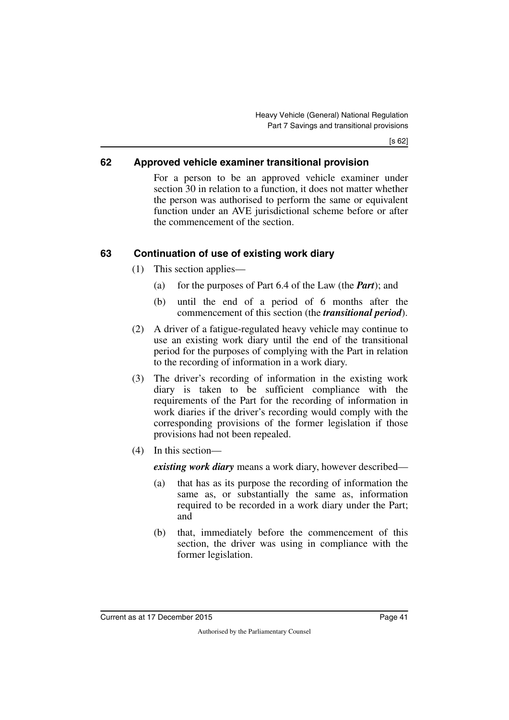[s 62]

## <span id="page-42-0"></span>**62 Approved vehicle examiner transitional provision**

<span id="page-42-1"></span>For a person to be an approved vehicle examiner under section 30 in relation to a function, it does not matter whether the person was authorised to perform the same or equivalent function under an AVE jurisdictional scheme before or after the commencement of the section.

## <span id="page-42-2"></span>**63 Continuation of use of existing work diary**

- <span id="page-42-3"></span>(1) This section applies—
	- (a) for the purposes of Part 6.4 of the Law (the *Part*); and
	- (b) until the end of a period of 6 months after the commencement of this section (the *transitional period*).
- (2) A driver of a fatigue-regulated heavy vehicle may continue to use an existing work diary until the end of the transitional period for the purposes of complying with the Part in relation to the recording of information in a work diary.
- (3) The driver's recording of information in the existing work diary is taken to be sufficient compliance with the requirements of the Part for the recording of information in work diaries if the driver's recording would comply with the corresponding provisions of the former legislation if those provisions had not been repealed.
- (4) In this section—

*existing work diary* means a work diary, however described—

- (a) that has as its purpose the recording of information the same as, or substantially the same as, information required to be recorded in a work diary under the Part; and
- (b) that, immediately before the commencement of this section, the driver was using in compliance with the former legislation.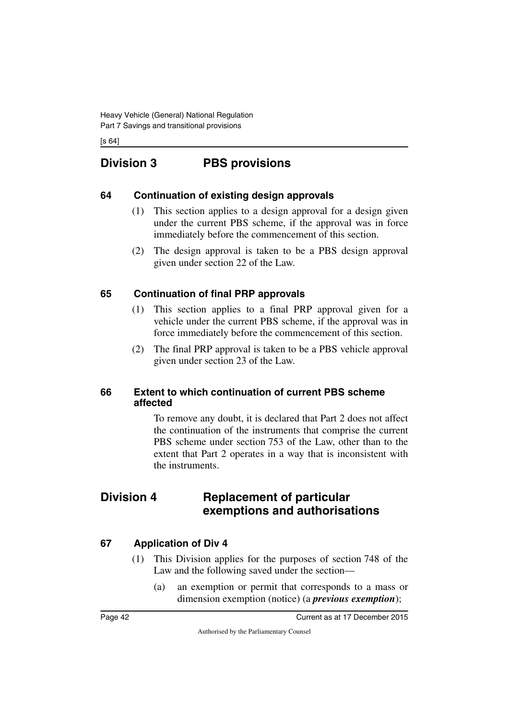[s 64]

## <span id="page-43-0"></span>**Division 3 PBS provisions**

## <span id="page-43-2"></span>**64 Continuation of existing design approvals**

- <span id="page-43-3"></span><span id="page-43-1"></span>(1) This section applies to a design approval for a design given under the current PBS scheme, if the approval was in force immediately before the commencement of this section.
- (2) The design approval is taken to be a PBS design approval given under section 22 of the Law.

## <span id="page-43-4"></span>**65 Continuation of final PRP approvals**

- <span id="page-43-5"></span>(1) This section applies to a final PRP approval given for a vehicle under the current PBS scheme, if the approval was in force immediately before the commencement of this section.
- (2) The final PRP approval is taken to be a PBS vehicle approval given under section 23 of the Law.

### <span id="page-43-7"></span><span id="page-43-6"></span>**66 Extent to which continuation of current PBS scheme affected**

<span id="page-43-9"></span>To remove any doubt, it is declared that Part 2 does not affect the continuation of the instruments that comprise the current PBS scheme under section 753 of the Law, other than to the extent that Part 2 operates in a way that is inconsistent with the instruments.

## <span id="page-43-8"></span>**Division 4 Replacement of particular exemptions and authorisations**

## <span id="page-43-10"></span>**67 Application of Div 4**

- <span id="page-43-11"></span>(1) This Division applies for the purposes of section 748 of the Law and the following saved under the section—
	- (a) an exemption or permit that corresponds to a mass or dimension exemption (notice) (a *previous exemption*);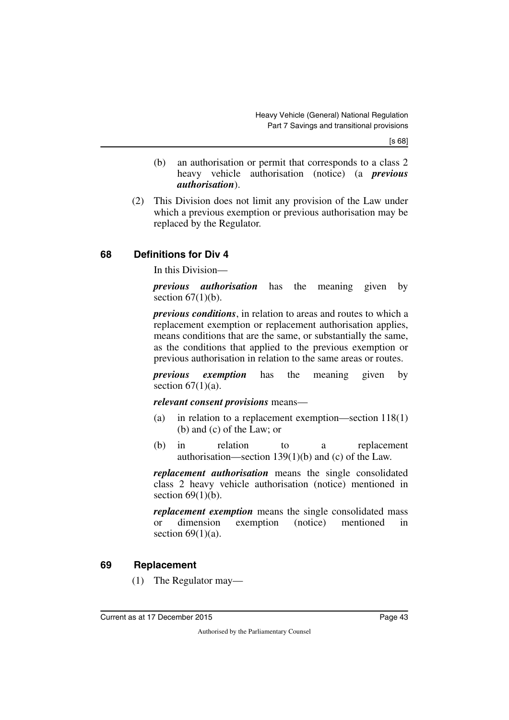[s 68]

- (b) an authorisation or permit that corresponds to a class 2 heavy vehicle authorisation (notice) (a *previous authorisation*).
- (2) This Division does not limit any provision of the Law under which a previous exemption or previous authorisation may be replaced by the Regulator.

## <span id="page-44-0"></span>**68 Definitions for Div 4**

<span id="page-44-1"></span>In this Division—

*previous authorisation* has the meaning given by section  $67(1)(b)$ .

*previous conditions*, in relation to areas and routes to which a replacement exemption or replacement authorisation applies, means conditions that are the same, or substantially the same, as the conditions that applied to the previous exemption or previous authorisation in relation to the same areas or routes.

*previous exemption* has the meaning given by section  $67(1)(a)$ .

*relevant consent provisions* means—

- (a) in relation to a replacement exemption—section 118(1) (b) and (c) of the Law; or
- (b) in relation to a replacement authorisation—section 139(1)(b) and (c) of the Law.

*replacement authorisation* means the single consolidated class 2 heavy vehicle authorisation (notice) mentioned in section  $69(1)(b)$ .

*replacement exemption* means the single consolidated mass or dimension exemption (notice) mentioned in section  $69(1)(a)$ .

## <span id="page-44-2"></span>**69 Replacement**

<span id="page-44-3"></span>(1) The Regulator may—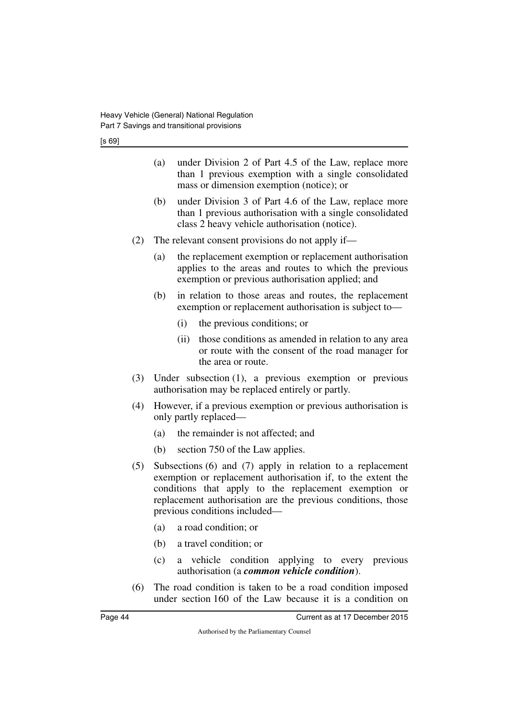[s 69]

- (a) under Division 2 of Part 4.5 of the Law, replace more than 1 previous exemption with a single consolidated mass or dimension exemption (notice); or
- (b) under Division 3 of Part 4.6 of the Law, replace more than 1 previous authorisation with a single consolidated class 2 heavy vehicle authorisation (notice).
- (2) The relevant consent provisions do not apply if—
	- (a) the replacement exemption or replacement authorisation applies to the areas and routes to which the previous exemption or previous authorisation applied; and
	- (b) in relation to those areas and routes, the replacement exemption or replacement authorisation is subject to—
		- (i) the previous conditions; or
		- (ii) those conditions as amended in relation to any area or route with the consent of the road manager for the area or route.
- (3) Under subsection (1), a previous exemption or previous authorisation may be replaced entirely or partly.
- (4) However, if a previous exemption or previous authorisation is only partly replaced—
	- (a) the remainder is not affected; and
	- (b) section 750 of the Law applies.
- (5) Subsections (6) and (7) apply in relation to a replacement exemption or replacement authorisation if, to the extent the conditions that apply to the replacement exemption or replacement authorisation are the previous conditions, those previous conditions included—
	- (a) a road condition; or
	- (b) a travel condition; or
	- (c) a vehicle condition applying to every previous authorisation (a *common vehicle condition*).
- (6) The road condition is taken to be a road condition imposed under section 160 of the Law because it is a condition on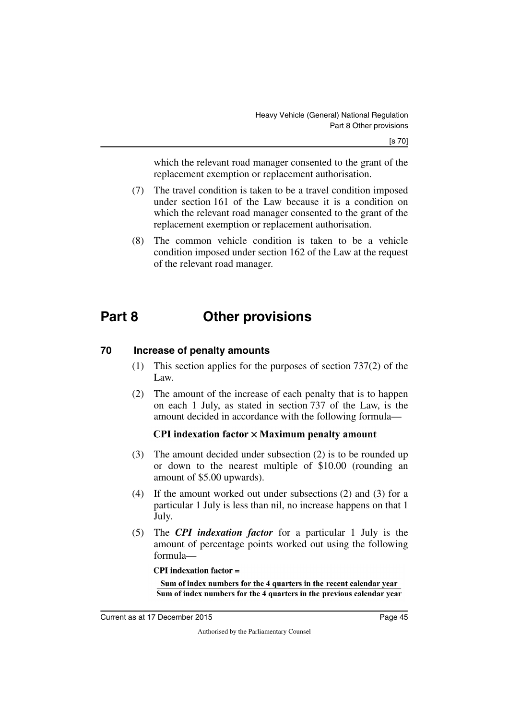which the relevant road manager consented to the grant of the replacement exemption or replacement authorisation.

- (7) The travel condition is taken to be a travel condition imposed under section 161 of the Law because it is a condition on which the relevant road manager consented to the grant of the replacement exemption or replacement authorisation.
- (8) The common vehicle condition is taken to be a vehicle condition imposed under section 162 of the Law at the request of the relevant road manager.

## <span id="page-46-0"></span>**Part 8 Other provisions**

## <span id="page-46-2"></span>**70 Increase of penalty amounts**

- <span id="page-46-3"></span><span id="page-46-1"></span>(1) This section applies for the purposes of section 737(2) of the Law.
- (2) The amount of the increase of each penalty that is to happen on each 1 July, as stated in section 737 of the Law, is the amount decided in accordance with the following formula—

## **CPI** indexation factor  $\times$  Maximum penalty amount

- (3) The amount decided under subsection (2) is to be rounded up or down to the nearest multiple of \$10.00 (rounding an amount of \$5.00 upwards).
- (4) If the amount worked out under subsections (2) and (3) for a particular 1 July is less than nil, no increase happens on that 1 July.
- (5) The *CPI indexation factor* for a particular 1 July is the amount of percentage points worked out using the following formula—

**CPI** indexation factor  $=$ 

Sum of index numbers for the 4 quarters in the recent calendar year Sum of index numbers for the 4 quarters in the previous calendar year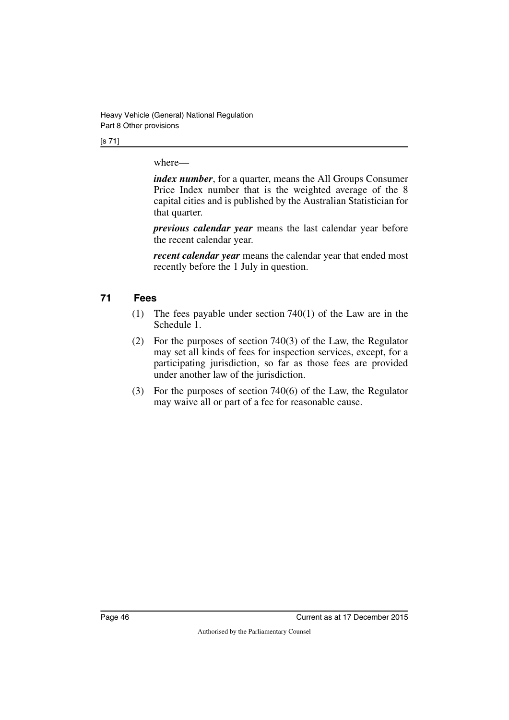Heavy Vehicle (General) National Regulation Part 8 Other provisions

[s 71]

where—

*index number*, for a quarter, means the All Groups Consumer Price Index number that is the weighted average of the 8 capital cities and is published by the Australian Statistician for that quarter.

*previous calendar year* means the last calendar year before the recent calendar year.

*recent calendar year* means the calendar year that ended most recently before the 1 July in question.

## <span id="page-47-0"></span>**71 Fees**

- <span id="page-47-1"></span>(1) The fees payable under section 740(1) of the Law are in the Schedule 1.
- (2) For the purposes of section 740(3) of the Law, the Regulator may set all kinds of fees for inspection services, except, for a participating jurisdiction, so far as those fees are provided under another law of the jurisdiction.
- (3) For the purposes of section 740(6) of the Law, the Regulator may waive all or part of a fee for reasonable cause.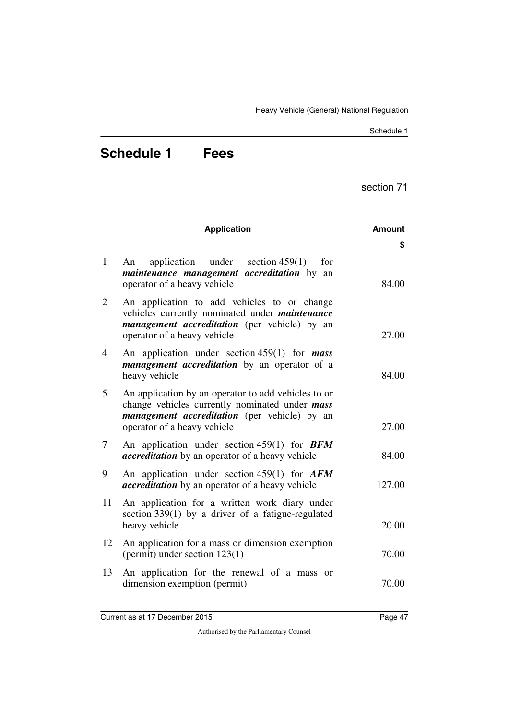Schedule 1

## <span id="page-48-1"></span><span id="page-48-0"></span>**Schedule 1 Fees**

section 71

|                | <b>Application</b>                                                                                                                                                                          | <b>Amount</b> |
|----------------|---------------------------------------------------------------------------------------------------------------------------------------------------------------------------------------------|---------------|
|                |                                                                                                                                                                                             | S             |
| $\mathbf{1}$   | application under<br>section $459(1)$<br>for<br>An<br><i>maintenance management accreditation</i> by an<br>operator of a heavy vehicle                                                      | 84.00         |
| 2              | An application to add vehicles to or change<br>vehicles currently nominated under <i>maintenance</i><br><i>management accreditation</i> (per vehicle) by an<br>operator of a heavy vehicle  | 27.00         |
| $\overline{4}$ | An application under section $459(1)$ for <i>mass</i><br><i>management accreditation</i> by an operator of a<br>heavy vehicle                                                               | 84.00         |
| 5              | An application by an operator to add vehicles to or<br>change vehicles currently nominated under <i>mass</i><br>management accreditation (per vehicle) by an<br>operator of a heavy vehicle | 27.00         |
| 7              | An application under section 459(1) for $BFM$<br><i>accreditation</i> by an operator of a heavy vehicle                                                                                     | 84.00         |
| 9              | An application under section 459(1) for $AFM$<br><i>accreditation</i> by an operator of a heavy vehicle                                                                                     | 127.00        |
| 11             | An application for a written work diary under<br>section $339(1)$ by a driver of a fatigue-regulated<br>heavy vehicle                                                                       | 20.00         |
| 12             | An application for a mass or dimension exemption<br>(permit) under section $123(1)$                                                                                                         | 70.00         |
| 13             | An application for the renewal of a mass or<br>dimension exemption (permit)                                                                                                                 | 70.00         |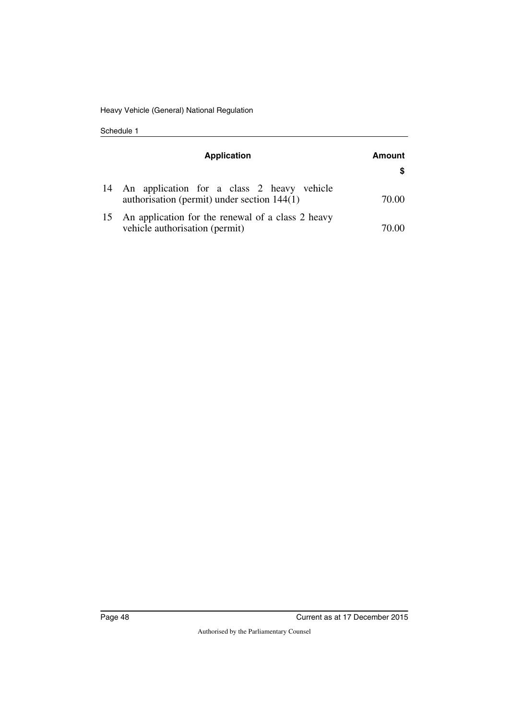Schedule 1

|    | <b>Application</b>                                                                             | Amount |
|----|------------------------------------------------------------------------------------------------|--------|
|    |                                                                                                |        |
|    | 14 An application for a class 2 heavy vehicle<br>authorisation (permit) under section $144(1)$ | 70.00  |
| 15 | An application for the renewal of a class 2 heavy<br>vehicle authorisation (permit)            |        |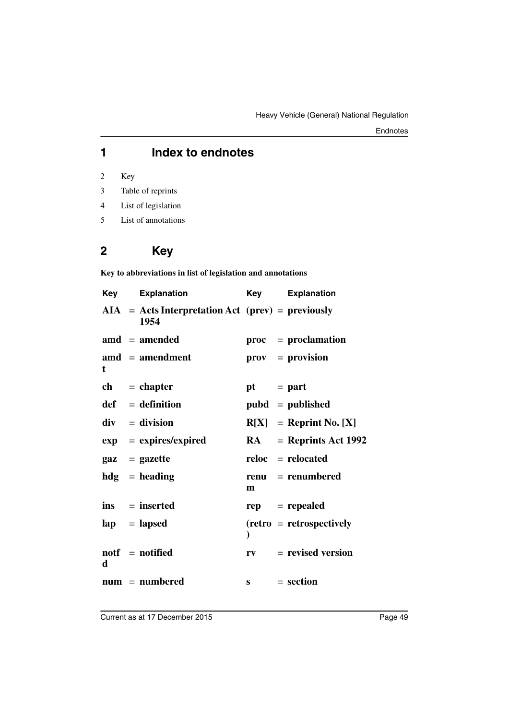## **1 Index to endnotes**

2 Key

- 3 Table of reprints
- 4 List of legislation
- 5 List of annotations

## **2 Key**

**Key to abbreviations in list of legislation and annotations**

| Key | <b>Explanation</b>                                                                                     | Key          | <b>Explanation</b>              |
|-----|--------------------------------------------------------------------------------------------------------|--------------|---------------------------------|
|     | $AIA = Acts Interpretation Act (prev) = previously$<br>1954                                            |              |                                 |
|     | $\mathbf{a} \mathbf{m} \mathbf{d} = \mathbf{a} \mathbf{m} \mathbf{e} \mathbf{n} \mathbf{d} \mathbf{e}$ |              | $proc = production$             |
| t   | $\mathbf{a} \mathbf{m} \mathbf{d}$ = amendment                                                         |              | $\mathbf{prox} = \mathbf{prox}$ |
|     | $ch = chapter$                                                                                         | $pt = part$  |                                 |
|     | $def = definition$                                                                                     |              | $pubd = published$              |
|     | $div = division$                                                                                       |              | $R[X] =$ Reprint No. [X]        |
| exp | $=$ expires/expired                                                                                    |              | $RA$ = Reprints Act 1992        |
|     | $\mathbf{gaz} = \mathbf{gazette}$                                                                      |              | $reloc = relocated$             |
|     | $hdg =$ heading                                                                                        | m            | renu = renumbered               |
|     | $ins = inserted$                                                                                       |              | $rep = rep\text{ }$             |
|     | $\mathbf{lap} = \mathbf{lapsed}$                                                                       | $\mathbf{)}$ | $(retro = retrospectively)$     |
| d   | $\text{notf} = \text{notified}$                                                                        |              | $rv = revised version$          |
|     | $num = numbered$                                                                                       |              | $s = section$                   |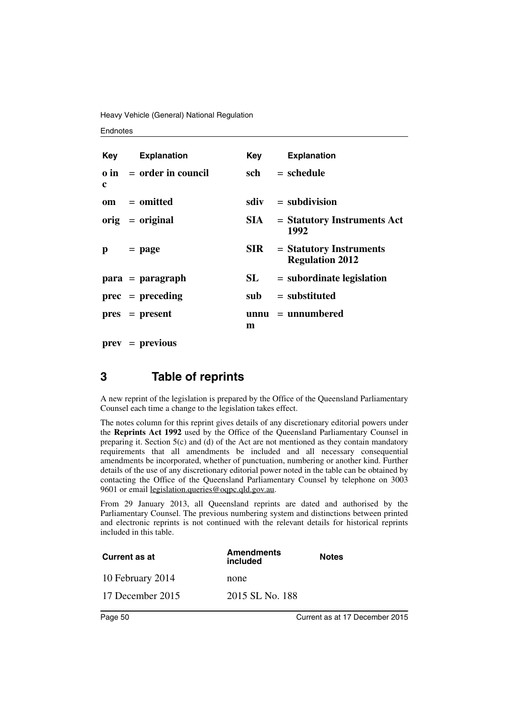Heavy Vehicle (General) National Regulation

#### **Endnotes**

|              | <b>Key</b> Explanation         | Kev        | <b>Explanation</b>                                  |
|--------------|--------------------------------|------------|-----------------------------------------------------|
| c            | $\theta$ in = order in council | sch        | $=$ schedule                                        |
|              | $om = omitted$                 |            | $sdiv = subdivision$                                |
|              | $orig = original$              | SIA –      | $=$ Statutory Instruments Act<br>1992               |
| $\mathbf{p}$ | $=$ page                       | <b>SIR</b> | $=$ Statutory Instruments<br><b>Regulation 2012</b> |
|              | $para = paragraph$             | SL         | $=$ subordinate legislation                         |
|              | $prec = preceding$             | sub        | $=$ substituted                                     |
|              | $pres = present$               | m          | $unnu = unnumbered$                                 |

**prev** = **previous**

## **3 Table of reprints**

A new reprint of the legislation is prepared by the Office of the Queensland Parliamentary Counsel each time a change to the legislation takes effect.

The notes column for this reprint gives details of any discretionary editorial powers under the **Reprints Act 1992** used by the Office of the Queensland Parliamentary Counsel in preparing it. Section  $5(c)$  and (d) of the Act are not mentioned as they contain mandatory requirements that all amendments be included and all necessary consequential amendments be incorporated, whether of punctuation, numbering or another kind. Further details of the use of any discretionary editorial power noted in the table can be obtained by contacting the Office of the Queensland Parliamentary Counsel by telephone on 3003 9601 or email legislation.queries@oqpc.qld.gov.au.

From 29 January 2013, all Queensland reprints are dated and authorised by the Parliamentary Counsel. The previous numbering system and distinctions between printed and electronic reprints is not continued with the relevant details for historical reprints included in this table.

| <b>Current as at</b> | <b>Amendments</b><br>included | <b>Notes</b> |
|----------------------|-------------------------------|--------------|
| 10 February 2014     | none                          |              |
| 17 December 2015     | 2015 SL No. 188               |              |